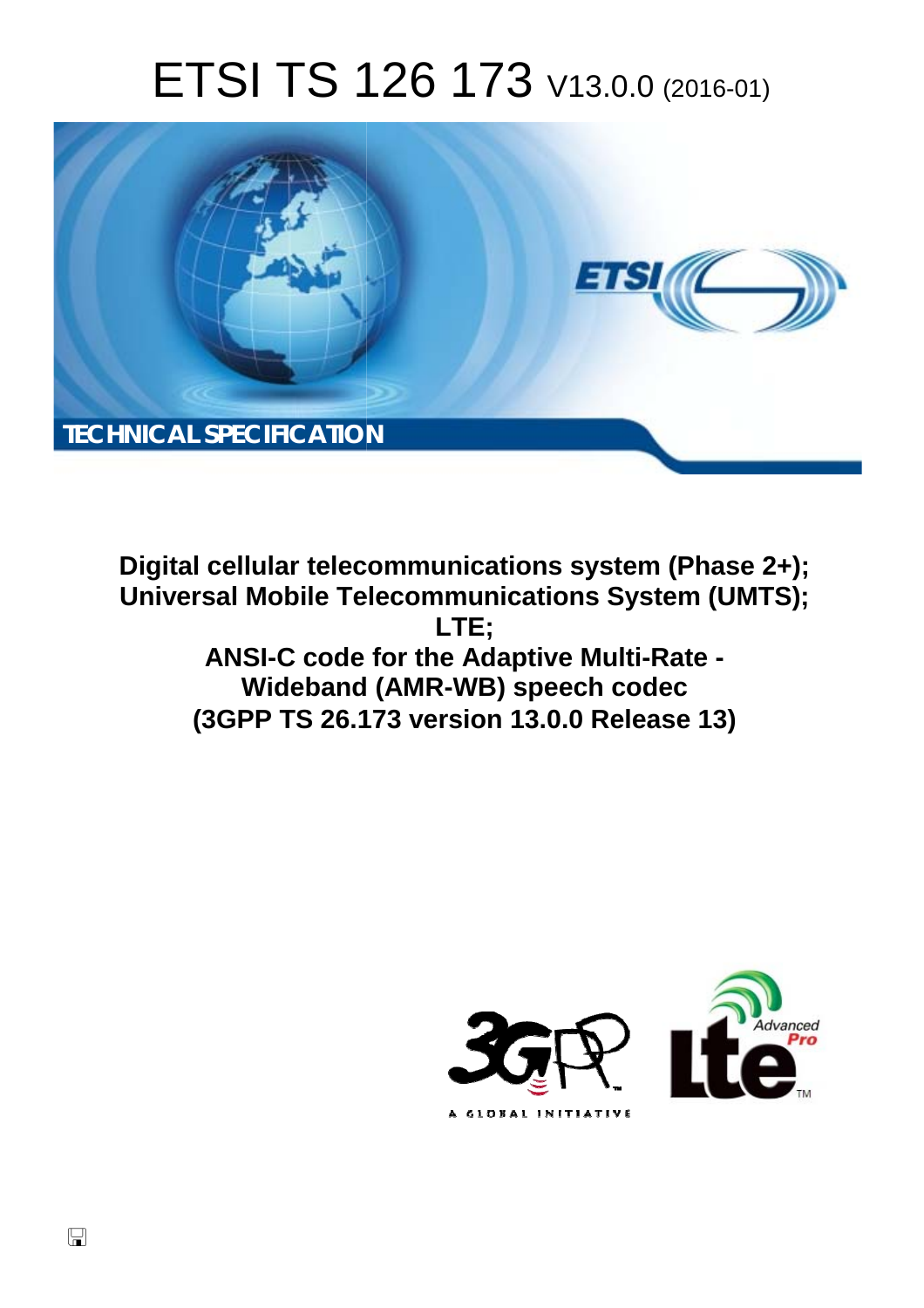# ETSI TS 126 173 V13.0.0 (2016-01)



**Digital cellular telecommunications system (Phase 2+); Universal Mobile Tel elecommunications System ( (UMTS);** ANSI-C code for the Adaptive Multi-Rate -**Wideband d (AMR-WB) speech codec (3GPP TS 26.1 .173 version 13.0.0 Release 13 13) LTE;** 



 $\Box$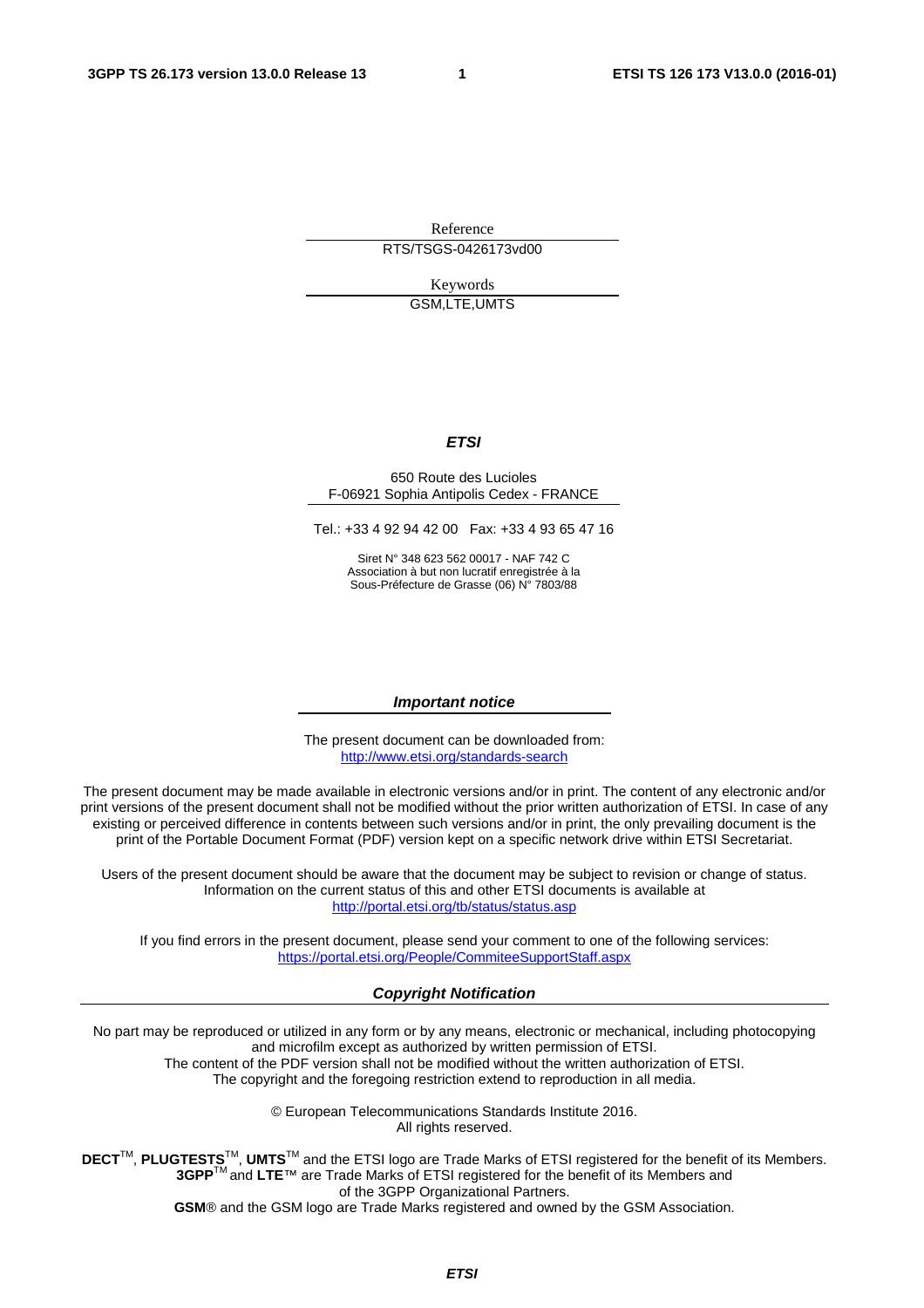Reference RTS/TSGS-0426173vd00

> Keywords GSM,LTE,UMTS

#### *ETSI*

#### 650 Route des Lucioles F-06921 Sophia Antipolis Cedex - FRANCE

Tel.: +33 4 92 94 42 00 Fax: +33 4 93 65 47 16

Siret N° 348 623 562 00017 - NAF 742 C Association à but non lucratif enregistrée à la Sous-Préfecture de Grasse (06) N° 7803/88

#### *Important notice*

The present document can be downloaded from: <http://www.etsi.org/standards-search>

The present document may be made available in electronic versions and/or in print. The content of any electronic and/or print versions of the present document shall not be modified without the prior written authorization of ETSI. In case of any existing or perceived difference in contents between such versions and/or in print, the only prevailing document is the print of the Portable Document Format (PDF) version kept on a specific network drive within ETSI Secretariat.

Users of the present document should be aware that the document may be subject to revision or change of status. Information on the current status of this and other ETSI documents is available at <http://portal.etsi.org/tb/status/status.asp>

If you find errors in the present document, please send your comment to one of the following services: <https://portal.etsi.org/People/CommiteeSupportStaff.aspx>

#### *Copyright Notification*

No part may be reproduced or utilized in any form or by any means, electronic or mechanical, including photocopying and microfilm except as authorized by written permission of ETSI.

The content of the PDF version shall not be modified without the written authorization of ETSI. The copyright and the foregoing restriction extend to reproduction in all media.

> © European Telecommunications Standards Institute 2016. All rights reserved.

**DECT**TM, **PLUGTESTS**TM, **UMTS**TM and the ETSI logo are Trade Marks of ETSI registered for the benefit of its Members. **3GPP**TM and **LTE**™ are Trade Marks of ETSI registered for the benefit of its Members and of the 3GPP Organizational Partners.

**GSM**® and the GSM logo are Trade Marks registered and owned by the GSM Association.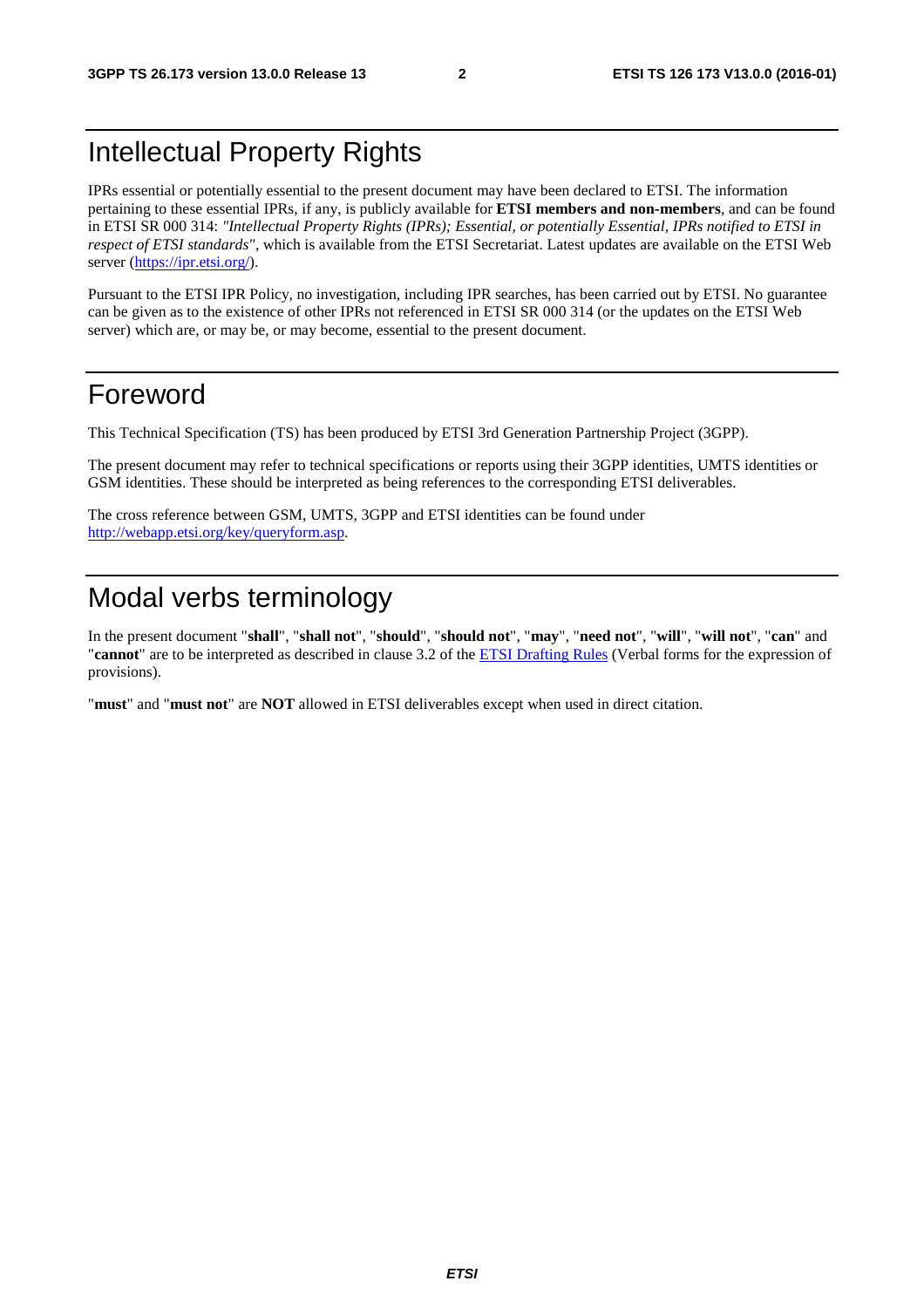### Intellectual Property Rights

IPRs essential or potentially essential to the present document may have been declared to ETSI. The information pertaining to these essential IPRs, if any, is publicly available for **ETSI members and non-members**, and can be found in ETSI SR 000 314: *"Intellectual Property Rights (IPRs); Essential, or potentially Essential, IPRs notified to ETSI in respect of ETSI standards"*, which is available from the ETSI Secretariat. Latest updates are available on the ETSI Web server [\(https://ipr.etsi.org/](https://ipr.etsi.org/)).

Pursuant to the ETSI IPR Policy, no investigation, including IPR searches, has been carried out by ETSI. No guarantee can be given as to the existence of other IPRs not referenced in ETSI SR 000 314 (or the updates on the ETSI Web server) which are, or may be, or may become, essential to the present document.

### Foreword

This Technical Specification (TS) has been produced by ETSI 3rd Generation Partnership Project (3GPP).

The present document may refer to technical specifications or reports using their 3GPP identities, UMTS identities or GSM identities. These should be interpreted as being references to the corresponding ETSI deliverables.

The cross reference between GSM, UMTS, 3GPP and ETSI identities can be found under [http://webapp.etsi.org/key/queryform.asp.](http://webapp.etsi.org/key/queryform.asp)

### Modal verbs terminology

In the present document "**shall**", "**shall not**", "**should**", "**should not**", "**may**", "**need not**", "**will**", "**will not**", "**can**" and "**cannot**" are to be interpreted as described in clause 3.2 of the [ETSI Drafting Rules](http://portal.etsi.org/Help/editHelp!/Howtostart/ETSIDraftingRules.aspx) (Verbal forms for the expression of provisions).

"**must**" and "**must not**" are **NOT** allowed in ETSI deliverables except when used in direct citation.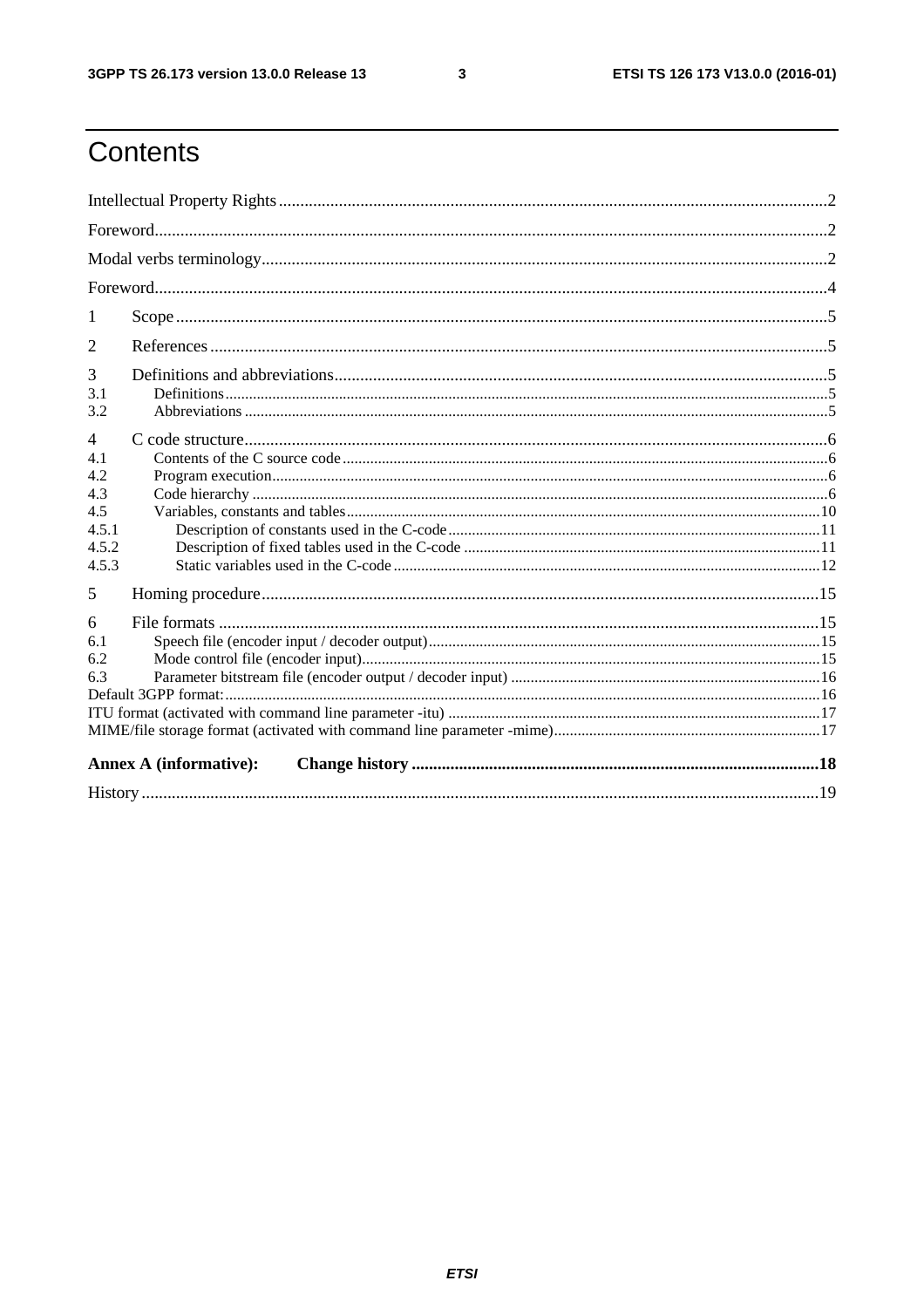$\mathbf{3}$ 

# Contents

| 1                                                                     |                               |  |  |  |
|-----------------------------------------------------------------------|-------------------------------|--|--|--|
| 2                                                                     |                               |  |  |  |
| 3<br>3.1<br>3.2                                                       |                               |  |  |  |
| $\overline{4}$<br>4.1<br>4.2<br>4.3<br>4.5<br>4.5.1<br>4.5.2<br>4.5.3 |                               |  |  |  |
| 5                                                                     |                               |  |  |  |
| 6<br>6.1<br>6.2<br>6.3                                                |                               |  |  |  |
|                                                                       | <b>Annex A (informative):</b> |  |  |  |
|                                                                       |                               |  |  |  |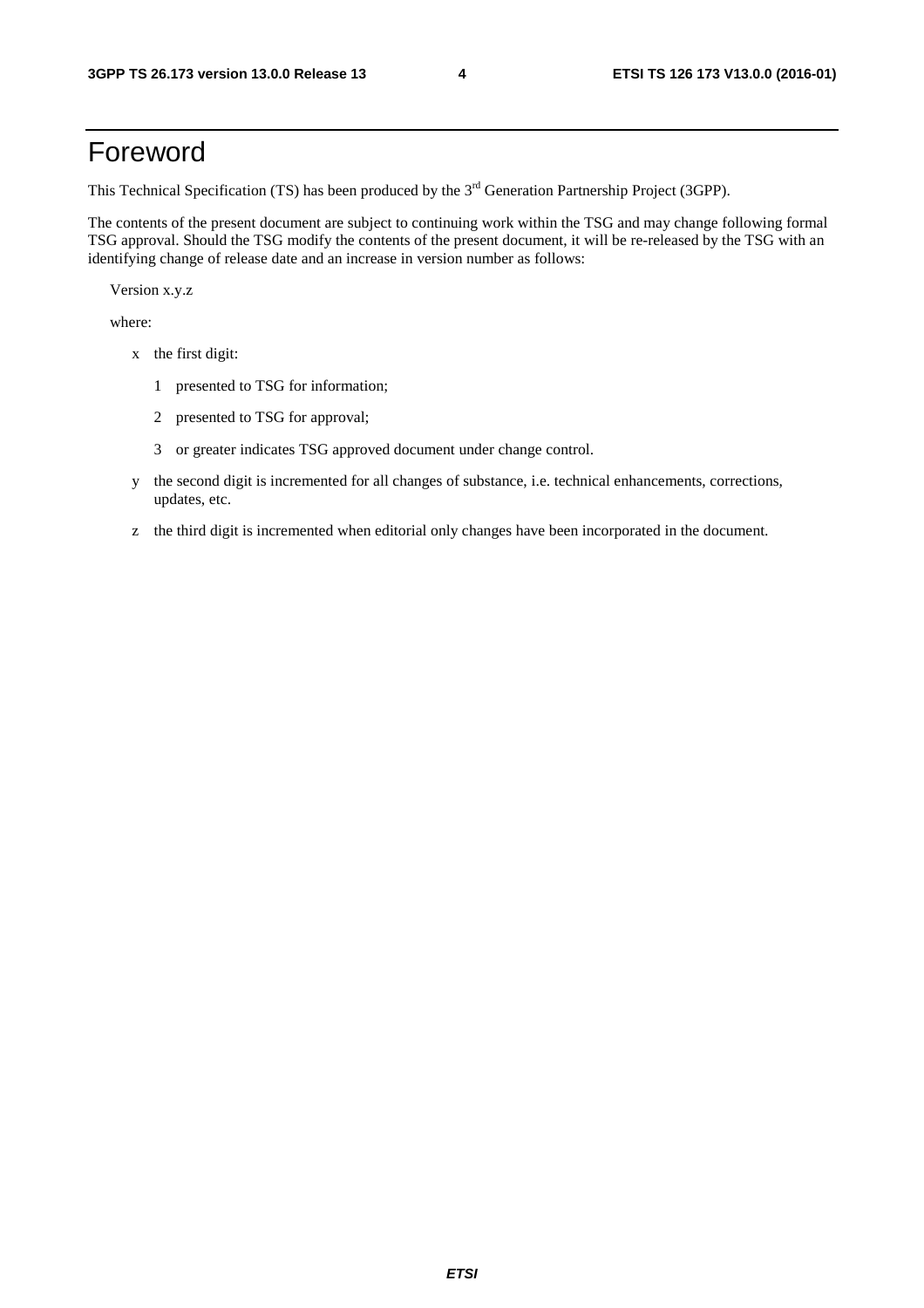### Foreword

This Technical Specification (TS) has been produced by the 3<sup>rd</sup> Generation Partnership Project (3GPP).

The contents of the present document are subject to continuing work within the TSG and may change following formal TSG approval. Should the TSG modify the contents of the present document, it will be re-released by the TSG with an identifying change of release date and an increase in version number as follows:

Version x.y.z

where:

- x the first digit:
	- 1 presented to TSG for information;
	- 2 presented to TSG for approval;
	- 3 or greater indicates TSG approved document under change control.
- y the second digit is incremented for all changes of substance, i.e. technical enhancements, corrections, updates, etc.
- z the third digit is incremented when editorial only changes have been incorporated in the document.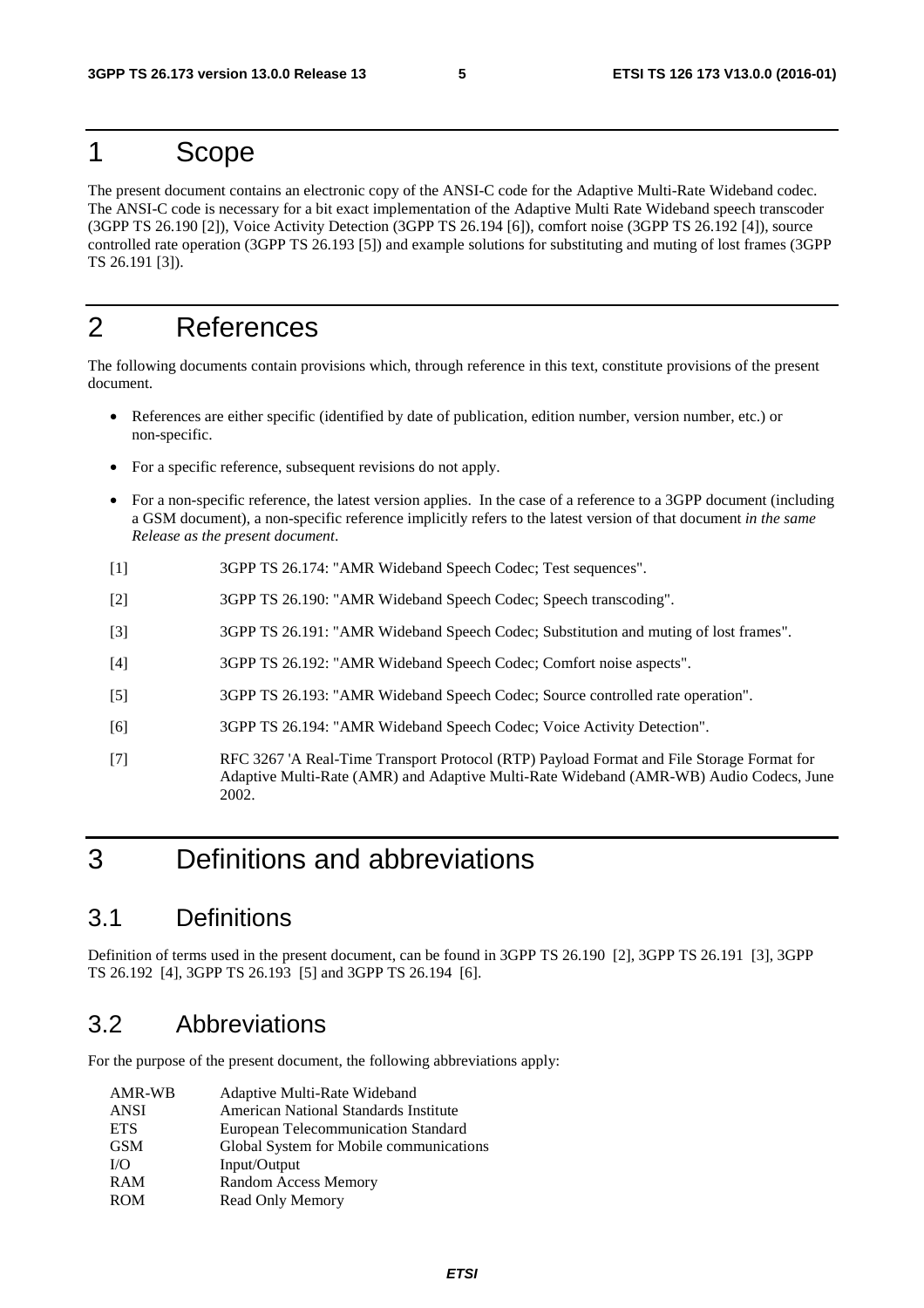### 1 Scope

The present document contains an electronic copy of the ANSI-C code for the Adaptive Multi-Rate Wideband codec. The ANSI-C code is necessary for a bit exact implementation of the Adaptive Multi Rate Wideband speech transcoder (3GPP TS 26.190 [2]), Voice Activity Detection (3GPP TS 26.194 [6]), comfort noise (3GPP TS 26.192 [4]), source controlled rate operation (3GPP TS 26.193 [5]) and example solutions for substituting and muting of lost frames (3GPP TS 26.191 [3]).

### 2 References

The following documents contain provisions which, through reference in this text, constitute provisions of the present document.

- References are either specific (identified by date of publication, edition number, version number, etc.) or non-specific.
- For a specific reference, subsequent revisions do not apply.
- For a non-specific reference, the latest version applies. In the case of a reference to a 3GPP document (including a GSM document), a non-specific reference implicitly refers to the latest version of that document *in the same Release as the present document*.
- [1] 3GPP TS 26.174: "AMR Wideband Speech Codec; Test sequences".
- [2] 3GPP TS 26.190: "AMR Wideband Speech Codec; Speech transcoding".
- [3] 3GPP TS 26.191: "AMR Wideband Speech Codec; Substitution and muting of lost frames".
- [4] 3GPP TS 26.192: "AMR Wideband Speech Codec; Comfort noise aspects".
- [5] 3GPP TS 26.193: "AMR Wideband Speech Codec; Source controlled rate operation".
- [6] 3GPP TS 26.194: "AMR Wideband Speech Codec; Voice Activity Detection".
- [7] RFC 3267 'A Real-Time Transport Protocol (RTP) Payload Format and File Storage Format for Adaptive Multi-Rate (AMR) and Adaptive Multi-Rate Wideband (AMR-WB) Audio Codecs, June 2002.

### 3 Definitions and abbreviations

#### 3.1 Definitions

Definition of terms used in the present document, can be found in 3GPP TS 26.190 [2], 3GPP TS 26.191 [3], 3GPP TS 26.192 [4], 3GPP TS 26.193 [5] and 3GPP TS 26.194 [6].

#### 3.2 Abbreviations

For the purpose of the present document, the following abbreviations apply:

| AMR-WB      | Adaptive Multi-Rate Wideband            |
|-------------|-----------------------------------------|
| <b>ANSI</b> | American National Standards Institute   |
| <b>ETS</b>  | European Telecommunication Standard     |
| <b>GSM</b>  | Global System for Mobile communications |
| I/O         | Input/Output                            |
| <b>RAM</b>  | Random Access Memory                    |
| <b>ROM</b>  | Read Only Memory                        |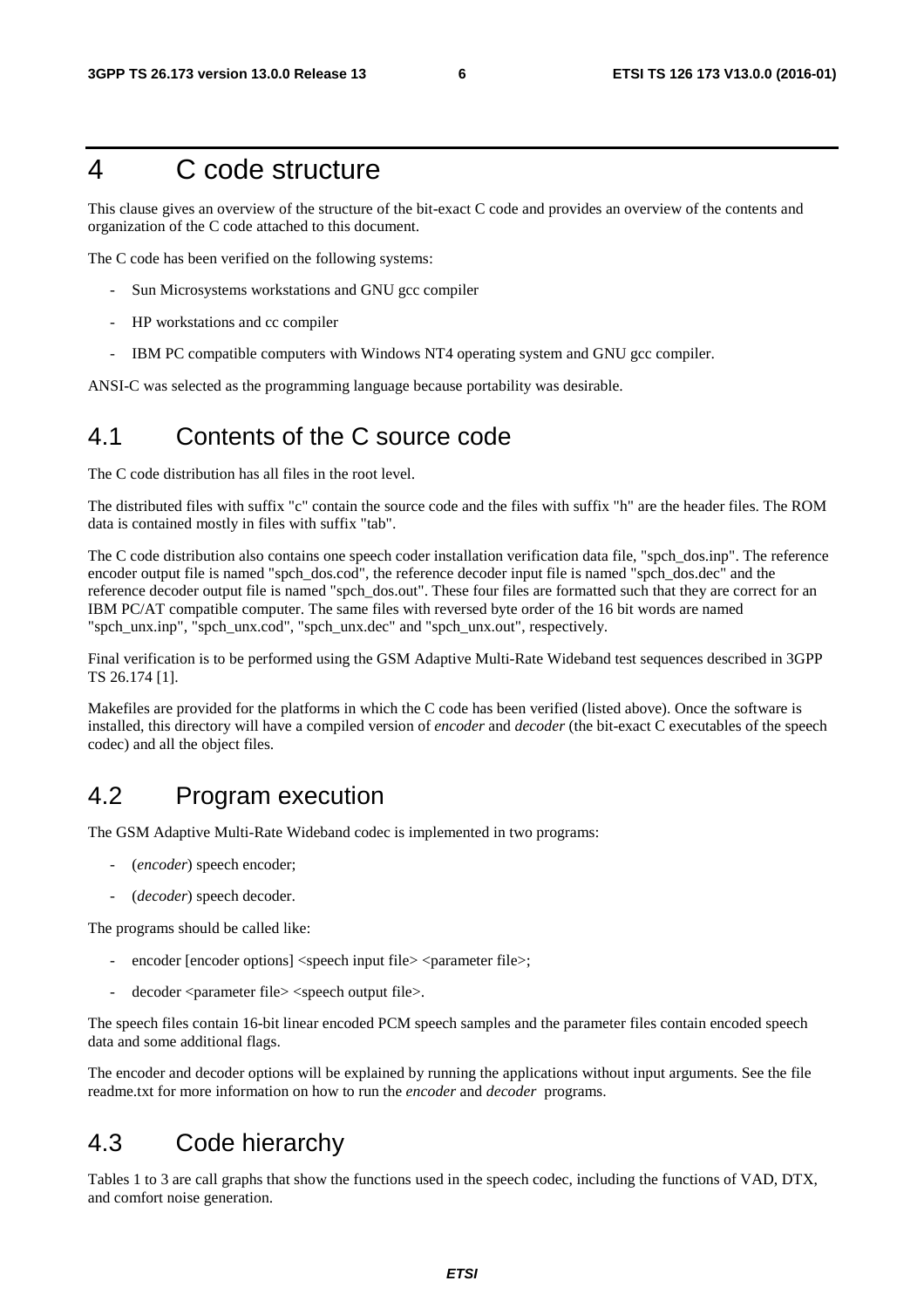### 4 C code structure

This clause gives an overview of the structure of the bit-exact C code and provides an overview of the contents and organization of the C code attached to this document.

The C code has been verified on the following systems:

- Sun Microsystems workstations and GNU gcc compiler
- HP workstations and cc compiler
- IBM PC compatible computers with Windows NT4 operating system and GNU gcc compiler.

ANSI-C was selected as the programming language because portability was desirable.

#### 4.1 Contents of the C source code

The C code distribution has all files in the root level.

The distributed files with suffix "c" contain the source code and the files with suffix "h" are the header files. The ROM data is contained mostly in files with suffix "tab".

The C code distribution also contains one speech coder installation verification data file, "spch\_dos.inp". The reference encoder output file is named "spch\_dos.cod", the reference decoder input file is named "spch\_dos.dec" and the reference decoder output file is named "spch\_dos.out". These four files are formatted such that they are correct for an IBM PC/AT compatible computer. The same files with reversed byte order of the 16 bit words are named "spch\_unx.inp", "spch\_unx.cod", "spch\_unx.dec" and "spch\_unx.out", respectively.

Final verification is to be performed using the GSM Adaptive Multi-Rate Wideband test sequences described in 3GPP TS 26.174 [1].

Makefiles are provided for the platforms in which the C code has been verified (listed above). Once the software is installed, this directory will have a compiled version of *encoder* and *decoder* (the bit-exact C executables of the speech codec) and all the object files.

#### 4.2 Program execution

The GSM Adaptive Multi-Rate Wideband codec is implemented in two programs:

- (*encoder*) speech encoder;
- (*decoder*) speech decoder.

The programs should be called like:

- encoder [encoder options] <speech input file> <parameter file>;
- decoder <parameter file> <speech output file>.

The speech files contain 16-bit linear encoded PCM speech samples and the parameter files contain encoded speech data and some additional flags.

The encoder and decoder options will be explained by running the applications without input arguments. See the file readme.txt for more information on how to run the *encoder* and *decoder* programs.

### 4.3 Code hierarchy

Tables 1 to 3 are call graphs that show the functions used in the speech codec, including the functions of VAD, DTX, and comfort noise generation.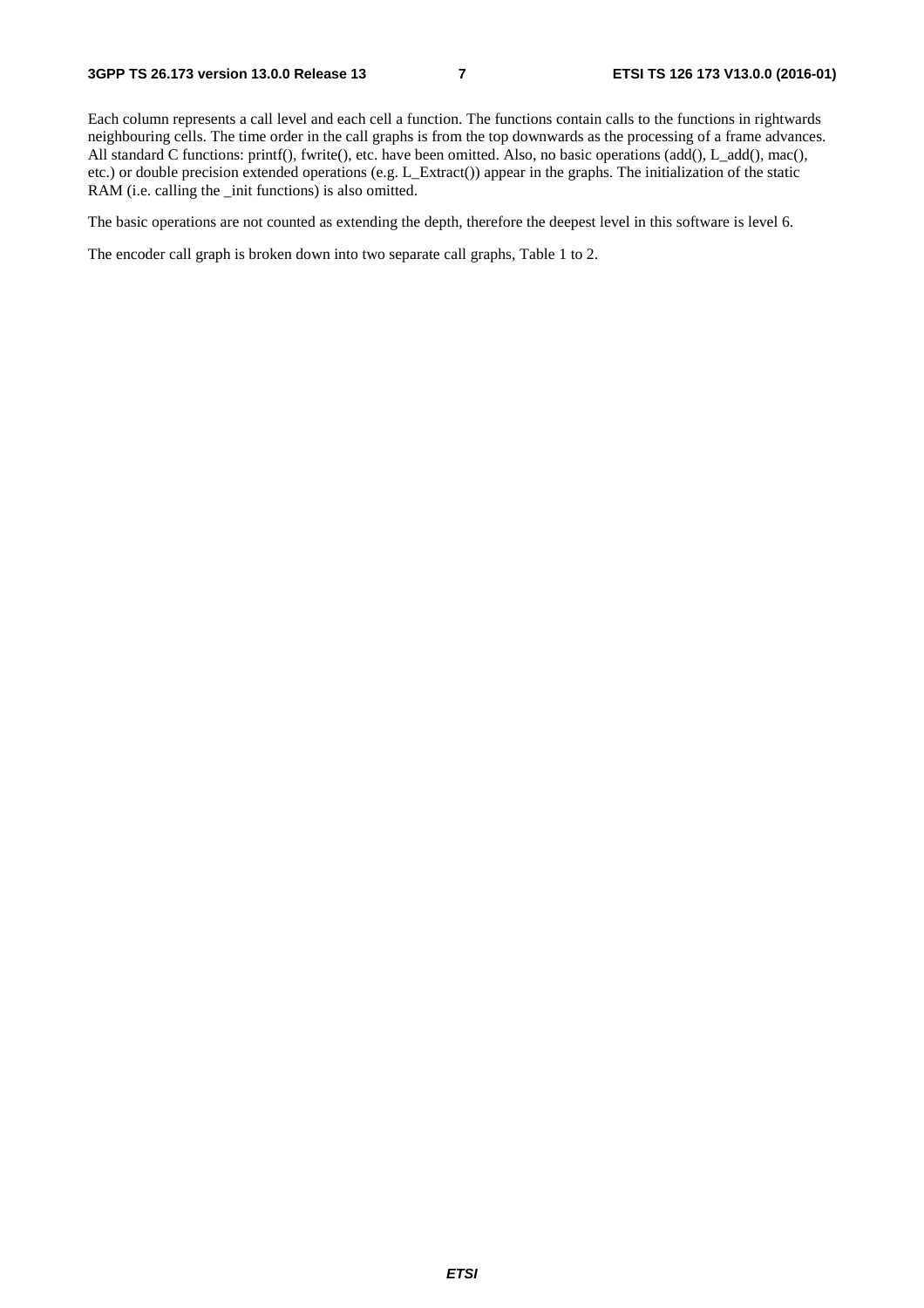Each column represents a call level and each cell a function. The functions contain calls to the functions in rightwards neighbouring cells. The time order in the call graphs is from the top downwards as the processing of a frame advances. All standard C functions: printf(), fwrite(), etc. have been omitted. Also, no basic operations (add(), L\_add(), mac(), etc.) or double precision extended operations (e.g. L\_Extract()) appear in the graphs. The initialization of the static RAM (i.e. calling the \_init functions) is also omitted.

The basic operations are not counted as extending the depth, therefore the deepest level in this software is level 6.

The encoder call graph is broken down into two separate call graphs, Table 1 to 2.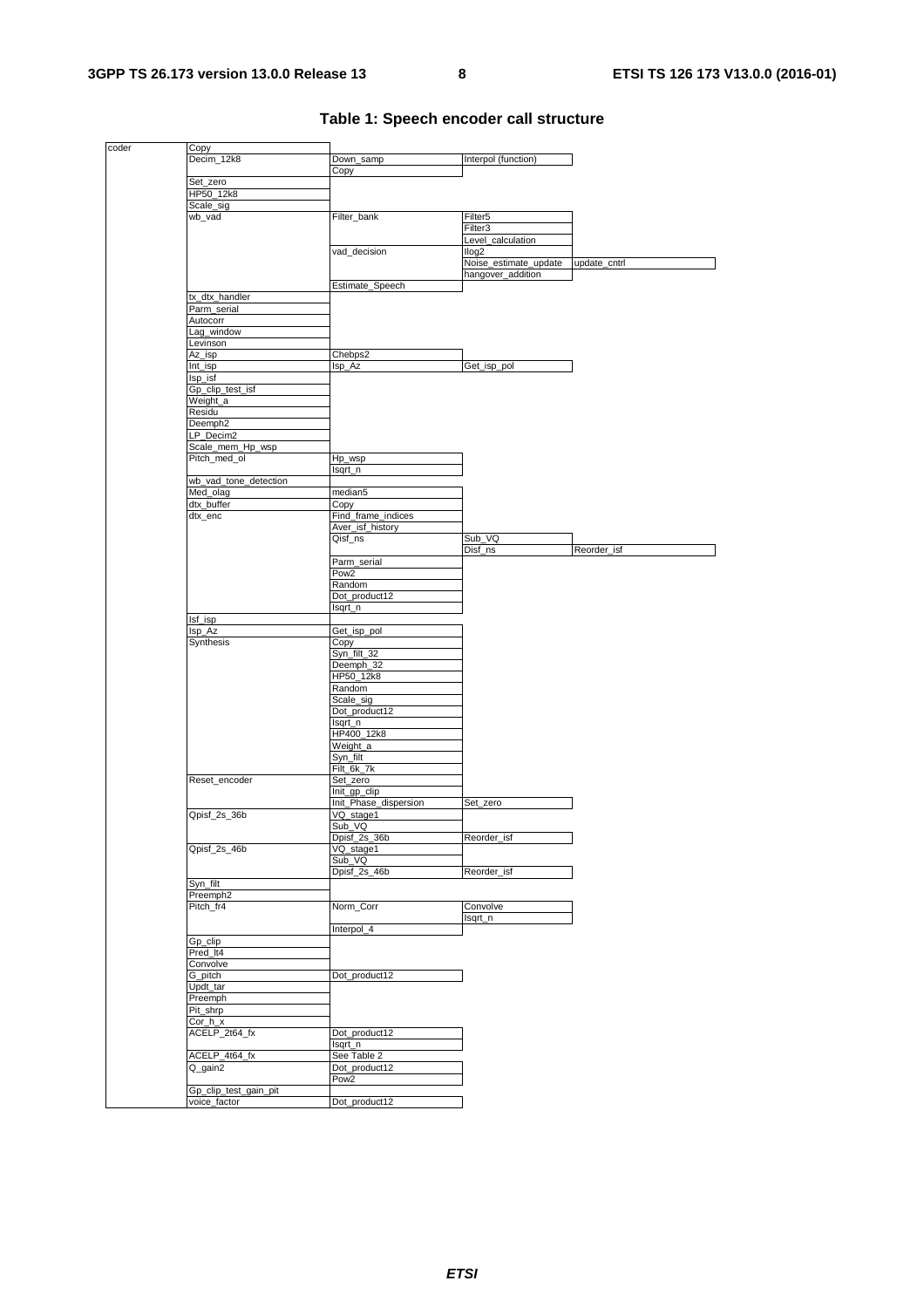| coder | Copy                  |                       |                       |              |
|-------|-----------------------|-----------------------|-----------------------|--------------|
|       | Decim_12k8            | Down_samp             | Interpol (function)   |              |
|       |                       | Copy                  |                       |              |
|       | Set_zero              |                       |                       |              |
|       | HP50_12k8             |                       |                       |              |
|       | Scale_sig             |                       |                       |              |
|       | wb_vad                | Filter_bank           | Filter <sub>5</sub>   |              |
|       |                       |                       | Filter3               |              |
|       |                       |                       |                       |              |
|       |                       |                       | Level_calculation     |              |
|       |                       | vad_decision          | llog <sub>2</sub>     |              |
|       |                       |                       | Noise_estimate_update | update_cntrl |
|       |                       |                       | hangover_addition     |              |
|       |                       | Estimate_Speech       |                       |              |
|       | tx_dtx_handler        |                       |                       |              |
|       | Parm serial           |                       |                       |              |
|       | Autocorr              |                       |                       |              |
|       | Lag_window            |                       |                       |              |
|       | Levinson              |                       |                       |              |
|       | Az_isp                | Chebps2               |                       |              |
|       | Int_isp               | Isp_Az                | Get_isp_pol           |              |
|       | Isp_isf               |                       |                       |              |
|       | Gp_clip_test_isf      |                       |                       |              |
|       | Weight_a              |                       |                       |              |
|       |                       |                       |                       |              |
|       | Residu                |                       |                       |              |
|       | Deemph <sub>2</sub>   |                       |                       |              |
|       | LP_Decim2             |                       |                       |              |
|       | Scale_mem_Hp_wsp      |                       |                       |              |
|       | Pitch_med_ol          | Hp_wsp                |                       |              |
|       |                       | lsqrt_n               |                       |              |
|       | wb_vad_tone_detection |                       |                       |              |
|       | Med_olag              | $m$ edian5            |                       |              |
|       | dtx_buffer            | Copy                  |                       |              |
|       | dtx_enc               | Find_frame_indices    |                       |              |
|       |                       | Aver_isf_history      |                       |              |
|       |                       | Qisf_ns               | Sub_VQ                |              |
|       |                       |                       |                       |              |
|       |                       |                       | Disf_ns               | Reorder_isf  |
|       |                       | Parm_serial           |                       |              |
|       |                       | Pow <sub>2</sub>      |                       |              |
|       |                       | Random                |                       |              |
|       |                       | Dot_product12         |                       |              |
|       |                       | Isqrt_n               |                       |              |
|       | Isf_isp               |                       |                       |              |
|       | Isp_Az                | Get_isp_pol           |                       |              |
|       | Synthesis             | Copy                  |                       |              |
|       |                       | Syn_filt_32           |                       |              |
|       |                       | Deemph_32             |                       |              |
|       |                       | HP50_12k8             |                       |              |
|       |                       | Random                |                       |              |
|       |                       | Scale_sig             |                       |              |
|       |                       | Dot_product12         |                       |              |
|       |                       | Isqrt_n               |                       |              |
|       |                       | HP400_12k8            |                       |              |
|       |                       | Weight_a              |                       |              |
|       |                       |                       |                       |              |
|       |                       | Syn_filt              |                       |              |
|       |                       | Filt_6k_7k            |                       |              |
|       | Reset_encoder         | Set_zero              |                       |              |
|       |                       | Init_gp_clip          |                       |              |
|       |                       | Init_Phase_dispersion | Set_zero              |              |
|       | Qpisf_2s_36b          | VQ_stage1             |                       |              |
|       |                       | Sub_VQ                |                       |              |
|       |                       | Dpisf_2s_36b          | Reorder_isf           |              |
|       | Qpisf_2s_46b          | VQ_stage1             |                       |              |
|       |                       | Sub_VQ                |                       |              |
|       |                       | Dpisf_2s_46b          | Reorder_isf           |              |
|       | Syn_filt              |                       |                       |              |
|       | Preemph <sub>2</sub>  |                       |                       |              |
|       | Pitch_fr4             | Norm_Corr             | Convolve              |              |
|       |                       |                       | Isqrt_n               |              |
|       |                       | Interpol_4            |                       |              |
|       | Gp_clip               |                       |                       |              |
|       | Pred_It4              |                       |                       |              |
|       | Convolve              |                       |                       |              |
|       |                       |                       |                       |              |
|       | G_pitch               | Dot_product12         |                       |              |
|       | Updt_tar              |                       |                       |              |
|       | Preemph               |                       |                       |              |
|       | Pit_shrp              |                       |                       |              |
|       | $Cor_h_x$             |                       |                       |              |
|       | ACELP_2t64_fx         | Dot_product12         |                       |              |
|       |                       | lsqrt_n               |                       |              |
|       | ACELP_4t64_fx         | See Table 2           |                       |              |
|       | Q_gain2               | Dot_product12         |                       |              |
|       |                       | Pow <sub>2</sub>      |                       |              |
|       | Gp_clip_test_gain_pit |                       |                       |              |
|       | voice_factor          | Dot_product12         |                       |              |
|       |                       |                       |                       |              |

#### **Table 1: Speech encoder call structure**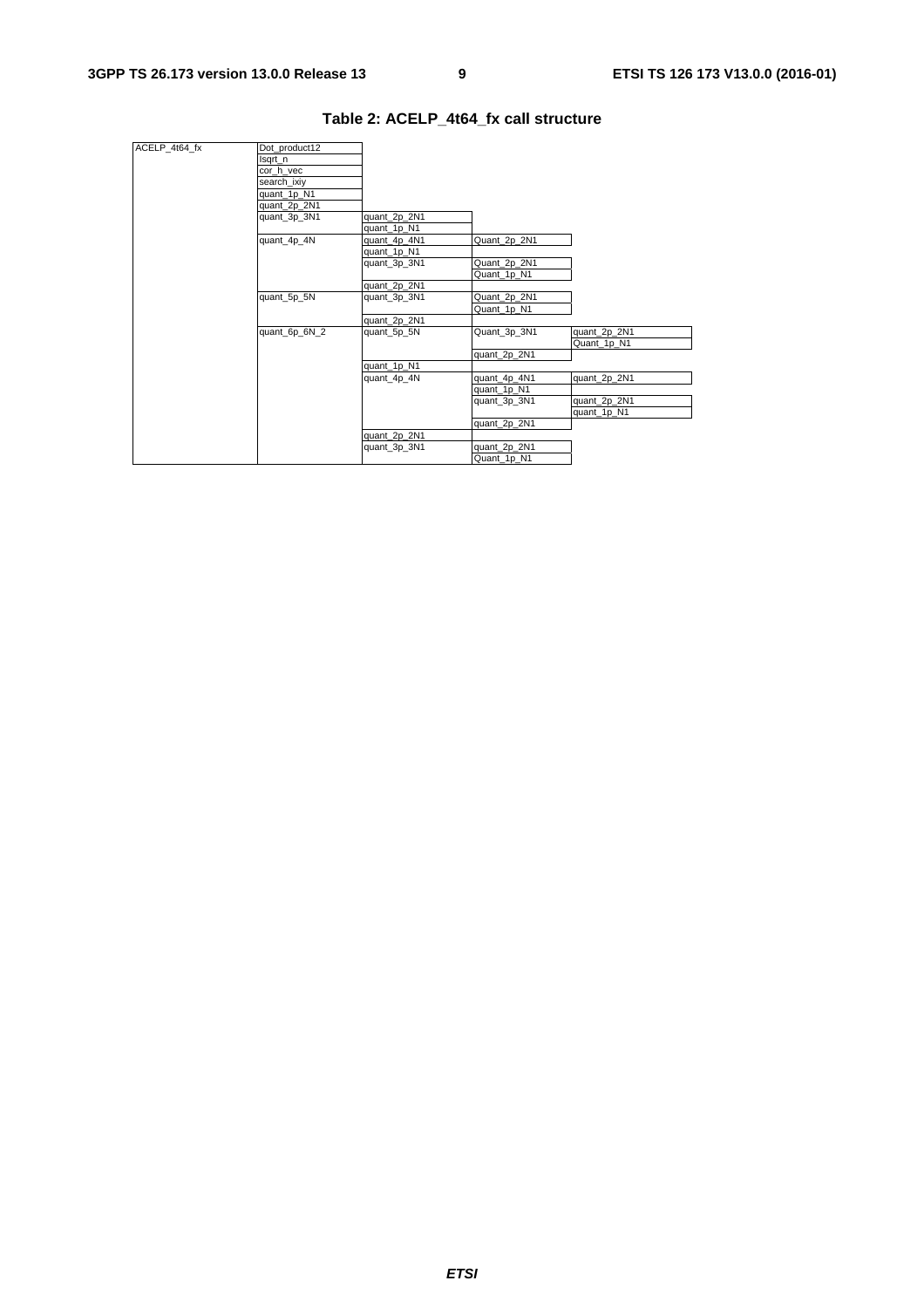| lsqrt_n       |               |                                                             |              |
|---------------|---------------|-------------------------------------------------------------|--------------|
| cor h vec     |               |                                                             |              |
| search ixiy   |               |                                                             |              |
| quant_1p_N1   |               |                                                             |              |
| quant_2p_2N1  |               |                                                             |              |
| quant_3p_3N1  | quant_2p_2N1  |                                                             |              |
|               | quant_1p_N1   |                                                             |              |
| quant_4p_4N   | quant_4p_4N1  | Quant_2p_2N1                                                |              |
|               | quant_1p_N1   |                                                             |              |
|               | quant_3p_3N1  | Quant_2p_2N1                                                |              |
|               |               | Quant_1p_N1                                                 |              |
|               | quant_2p_2N1  |                                                             |              |
| quant_5p_5N   | quant_3p_3N1  | Quant_2p_2N1                                                |              |
|               |               | Quant_1p_N1                                                 |              |
|               |               |                                                             |              |
| quant_6p_6N_2 | quant_5p_5N   | Quant_3p_3N1                                                | quant_2p_2N1 |
|               |               |                                                             | Quant_1p_N1  |
|               |               | quant_2p_2N1                                                |              |
|               |               |                                                             |              |
|               | quant_4p_4N   | quant_4p_4N1                                                | quant_2p_2N1 |
|               |               | quant_1p_N1                                                 |              |
|               |               | quant_3p_3N1                                                | quant_2p_2N1 |
|               |               |                                                             | quant_1p_N1  |
|               |               | quant_2p_2N1                                                |              |
|               |               |                                                             |              |
|               |               |                                                             |              |
|               |               | Quant 1p N1                                                 |              |
|               | Dot_product12 | quant_2p_2N1<br>quant_1p_N1<br>quant_2p_2N1<br>quant_3p_3N1 | quant_2p_2N1 |

#### **Table 2: ACELP\_4t64\_fx call structure**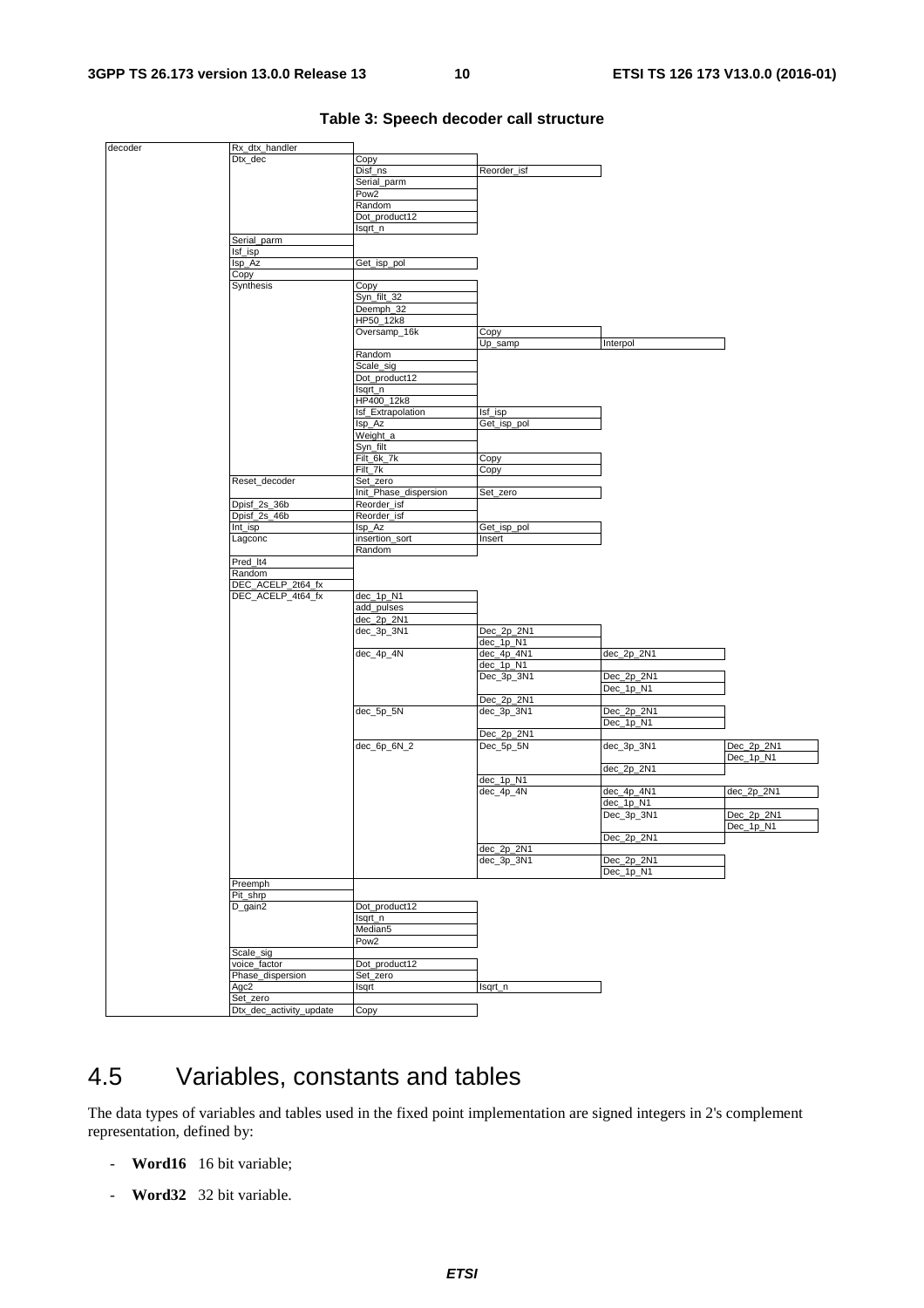| decoder | Rx_dtx_handler                      |                       |              |            |              |
|---------|-------------------------------------|-----------------------|--------------|------------|--------------|
|         | Dtx_dec                             | Copy                  |              |            |              |
|         |                                     | Disf_ns               | Reorder_isf  |            |              |
|         |                                     | Serial_parm           |              |            |              |
|         |                                     |                       |              |            |              |
|         |                                     | Pow <sub>2</sub>      |              |            |              |
|         |                                     | Random                |              |            |              |
|         |                                     | Dot_product12         |              |            |              |
|         |                                     | Isqrt_n               |              |            |              |
|         | Serial_parm                         |                       |              |            |              |
|         |                                     |                       |              |            |              |
|         | Isf_isp                             |                       |              |            |              |
|         | lsp_Az                              | Get_isp_pol           |              |            |              |
|         | Copy                                |                       |              |            |              |
|         | Synthesis                           | Copy                  |              |            |              |
|         |                                     | Syn_filt_32           |              |            |              |
|         |                                     |                       |              |            |              |
|         |                                     | Deemph_32             |              |            |              |
|         |                                     | HP50_12k8             |              |            |              |
|         |                                     | Oversamp_16k          | Copy         |            |              |
|         |                                     |                       | Up_samp      | Interpol   |              |
|         |                                     | Random                |              |            |              |
|         |                                     |                       |              |            |              |
|         |                                     | Scale_sig             |              |            |              |
|         |                                     | Dot_product12         |              |            |              |
|         |                                     | Isqrt_n               |              |            |              |
|         |                                     | HP400_12k8            |              |            |              |
|         |                                     | Isf_Extrapolation     | Isf_isp      |            |              |
|         |                                     |                       |              |            |              |
|         |                                     | Isp_Az                | Get_isp_pol  |            |              |
|         |                                     | Weight_a              |              |            |              |
|         |                                     | Syn_filt              |              |            |              |
|         |                                     | Filt_6k_7k            | Copy         |            |              |
|         |                                     |                       |              |            |              |
|         |                                     | Filt_7k               | Copy         |            |              |
|         | Reset_decoder                       | Set zero              |              |            |              |
|         |                                     | Init_Phase_dispersion | Set_zero     |            |              |
|         | Dpisf_2s_36b                        | Reorder_isf           |              |            |              |
|         | Dpisf_2s_46b                        | Reorder_isf           |              |            |              |
|         |                                     |                       |              |            |              |
|         | Int_isp                             | Isp_Az                | Get_isp_pol  |            |              |
|         | Lagconc                             | insertion_sort        | Insert       |            |              |
|         |                                     | Random                |              |            |              |
|         | Pred_It4                            |                       |              |            |              |
|         | Random                              |                       |              |            |              |
|         | DEC_ACELP_2t64_fx                   |                       |              |            |              |
|         |                                     |                       |              |            |              |
|         | DEC_ACELP_4t64_fx                   | dec_1p_N1             |              |            |              |
|         |                                     | add_pulses            |              |            |              |
|         |                                     | dec_2p_2N1            |              |            |              |
|         |                                     | dec_3p_3N1            | $Dec_2p_2N1$ |            |              |
|         |                                     |                       |              |            |              |
|         |                                     |                       | dec_1p_N1    |            |              |
|         |                                     | dec_4p_4N             | dec_4p_4N1   | dec_2p_2N1 |              |
|         |                                     |                       | dec_1p_N1    |            |              |
|         |                                     |                       | Dec_3p_3N1   | Dec_2p_2N1 |              |
|         |                                     |                       |              | Dec_1p_N1  |              |
|         |                                     |                       |              |            |              |
|         |                                     |                       | Dec_2p_2N1   |            |              |
|         |                                     | dec_5p_5N             | dec_3p_3N1   | Dec_2p_2N1 |              |
|         |                                     |                       |              | Dec_1p_N1  |              |
|         |                                     |                       | Dec_2p_2N1   |            |              |
|         |                                     | $dec_6p_6N_2$         | Dec_5p_5N    | dec_3p_3N1 | Dec_2p_2N1   |
|         |                                     |                       |              |            |              |
|         |                                     |                       |              |            | Dec_1p_N1    |
|         |                                     |                       |              | dec_2p_2N1 |              |
|         |                                     |                       | dec_1p_N1    |            |              |
|         |                                     |                       | dec_4p_4N    | dec_4p_4N1 | $dec_2p_2N1$ |
|         |                                     |                       |              | dec_1p_N1  |              |
|         |                                     |                       |              |            |              |
|         |                                     |                       |              | Dec_3p_3N1 | Dec_2p_2N1   |
|         |                                     |                       |              |            | Dec_1p_N1    |
|         |                                     |                       |              | Dec_2p_2N1 |              |
|         |                                     |                       | dec_2p_2N1   |            |              |
|         |                                     |                       | dec_3p_3N1   | Dec_2p_2N1 |              |
|         |                                     |                       |              |            |              |
|         |                                     |                       |              | Dec_1p_N1  |              |
|         | Preemph                             |                       |              |            |              |
|         | Pit_shrp                            |                       |              |            |              |
|         | D_gain2                             | Dot_product12         |              |            |              |
|         |                                     | Isqrt_n               |              |            |              |
|         |                                     |                       |              |            |              |
|         |                                     | Median5               |              |            |              |
|         |                                     | Pow <sub>2</sub>      |              |            |              |
|         | Scale_sig                           |                       |              |            |              |
|         | voice_factor                        | Dot_product12         |              |            |              |
|         |                                     | Set_zero              |              |            |              |
|         |                                     |                       |              |            |              |
|         | Phase_dispersion                    |                       |              |            |              |
|         | Agc2                                | Isqrt                 | lsqrt_n      |            |              |
|         | Set zero<br>Dtx_dec_activity_update | Copy                  |              |            |              |

#### **Table 3: Speech decoder call structure**

### 4.5 Variables, constants and tables

The data types of variables and tables used in the fixed point implementation are signed integers in 2's complement representation, defined by:

- **Word16** 16 bit variable;
- **Word32** 32 bit variable.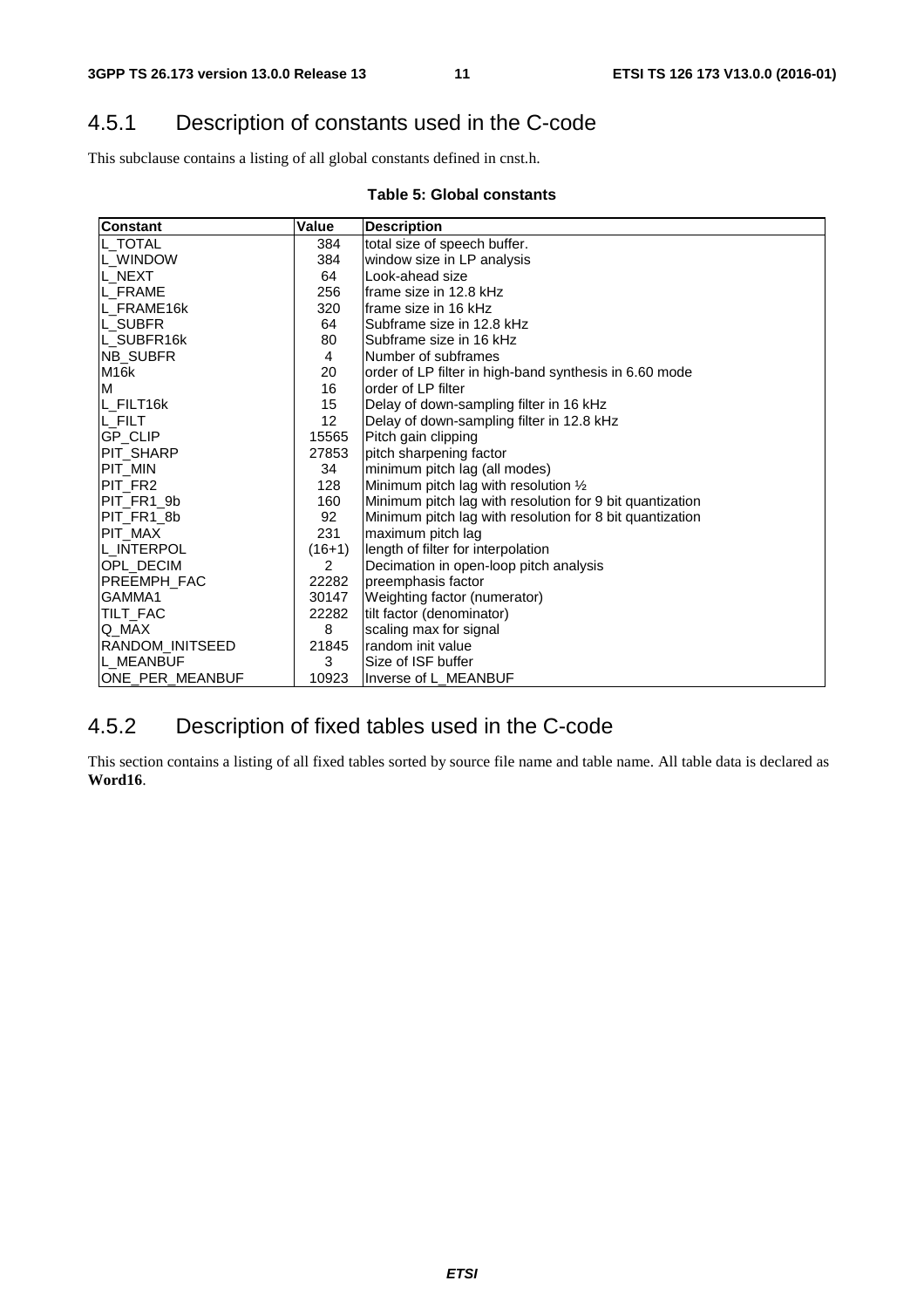### 4.5.1 Description of constants used in the C-code

This subclause contains a listing of all global constants defined in cnst.h.

#### **Table 5: Global constants**

| <b>Constant</b>    | Value           | <b>Description</b>                                       |
|--------------------|-----------------|----------------------------------------------------------|
| <b>IL TOTAL</b>    | 384             | total size of speech buffer.                             |
| <b>IL WINDOW</b>   | 384             | window size in LP analysis                               |
| IL NEXT            | 64              | Look-ahead size                                          |
| <b>L FRAME</b>     | 256             | lframe size in 12.8 kHz                                  |
| <b>IL FRAME16k</b> | 320             | lframe size in 16 kHz                                    |
| <b>L SUBFR</b>     | 64              | Subframe size in 12.8 kHz                                |
| L SUBFR16k         | 80              | Subframe size in 16 kHz                                  |
| <b>NB SUBFR</b>    | 4               | Number of subframes                                      |
| M <sub>16</sub> k  | 20              | order of LP filter in high-band synthesis in 6.60 mode   |
| M                  | 16              | order of LP filter                                       |
| L_FILT16k          | 15              | Delay of down-sampling filter in 16 kHz                  |
| IL FILT            | 12 <sub>2</sub> | Delay of down-sampling filter in 12.8 kHz                |
| IGP CLIP           | 15565           | Pitch gain clipping                                      |
| IPIT SHARP         | 27853           | pitch sharpening factor                                  |
| PIT_MIN            | 34              | minimum pitch lag (all modes)                            |
| PIT_FR2            | 128             | Minimum pitch lag with resolution 1/2                    |
| PIT FR1 9b         | 160             | Minimum pitch lag with resolution for 9 bit quantization |
| PIT_FR1_8b         | 92              | Minimum pitch lag with resolution for 8 bit quantization |
| <b>PIT MAX</b>     | 231             | maximum pitch lag                                        |
| L_INTERPOL         | $(16+1)$        | length of filter for interpolation                       |
| <b>OPL DECIM</b>   | 2               | Decimation in open-loop pitch analysis                   |
| PREEMPH_FAC        | 22282           | preemphasis factor                                       |
| GAMMA1             | 30147           | Weighting factor (numerator)                             |
| <b>TILT FAC</b>    | 22282           | tilt factor (denominator)                                |
| Q MAX              | 8               | scaling max for signal                                   |
| RANDOM_INITSEED    | 21845           | random init value                                        |
| <b>IL MEANBUF</b>  | 3               | Size of ISF buffer                                       |
| ONE_PER_MEANBUF    | 10923           | Inverse of L MEANBUF                                     |

### 4.5.2 Description of fixed tables used in the C-code

This section contains a listing of all fixed tables sorted by source file name and table name. All table data is declared as **Word16**.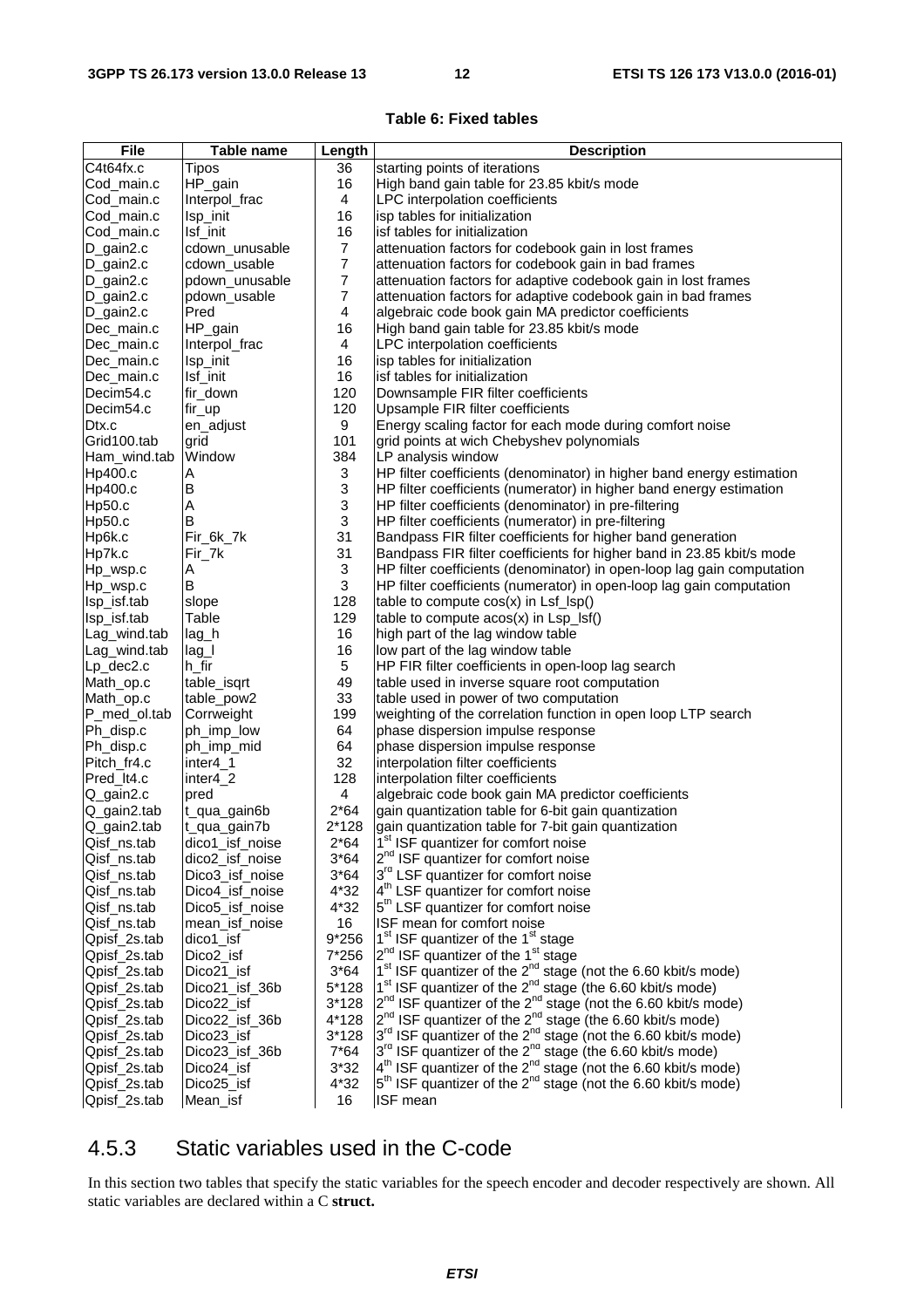#### **Table 6: Fixed tables**

| <b>File</b>              | Table name           | Length                    | <b>Description</b>                                                                                                                                                         |
|--------------------------|----------------------|---------------------------|----------------------------------------------------------------------------------------------------------------------------------------------------------------------------|
| C4t64fx.c                | Tipos                | 36                        | starting points of iterations                                                                                                                                              |
| Cod_main.c               | HP_gain              | 16                        | High band gain table for 23.85 kbit/s mode                                                                                                                                 |
| Cod_main.c               | Interpol_frac        | 4                         | LPC interpolation coefficients                                                                                                                                             |
| Cod_main.c               | Isp_init             | 16                        | isp tables for initialization                                                                                                                                              |
| Cod_main.c               | Isf_init             | 16                        | isf tables for initialization                                                                                                                                              |
| D_gain2.c                | cdown_unusable       | $\overline{7}$            | attenuation factors for codebook gain in lost frames                                                                                                                       |
| D_gain2.c                | cdown_usable         | $\overline{7}$            | attenuation factors for codebook gain in bad frames                                                                                                                        |
| D_gain2.c                | pdown_unusable       | $\boldsymbol{7}$          | attenuation factors for adaptive codebook gain in lost frames                                                                                                              |
| D_gain2.c                | pdown_usable         | 7                         | attenuation factors for adaptive codebook gain in bad frames                                                                                                               |
| D_gain2.c                | Pred                 | 4                         | algebraic code book gain MA predictor coefficients                                                                                                                         |
| Dec_main.c               | HP_gain              | 16                        | High band gain table for 23.85 kbit/s mode                                                                                                                                 |
| Dec_main.c               | Interpol_frac        | 4                         | LPC interpolation coefficients                                                                                                                                             |
| Dec main.c               | Isp_init             | 16                        | isp tables for initialization                                                                                                                                              |
| Dec_main.c               | Isf_init             | 16                        | isf tables for initialization                                                                                                                                              |
| Decim54.c                | fir_down             | 120                       | Downsample FIR filter coefficients                                                                                                                                         |
| Decim54.c                | fir_up               | 120                       | Upsample FIR filter coefficients                                                                                                                                           |
| Dtx.c                    | en_adjust            | 9                         | Energy scaling factor for each mode during comfort noise                                                                                                                   |
| Grid100.tab              | grid                 | 101                       | grid points at wich Chebyshev polynomials                                                                                                                                  |
| Ham_wind.tab             | Window               | 384                       | LP analysis window                                                                                                                                                         |
| Hp400.c                  | Α                    | 3                         | HP filter coefficients (denominator) in higher band energy estimation                                                                                                      |
| Hp400.c                  | B                    | $\sqrt{3}$                | HP filter coefficients (numerator) in higher band energy estimation                                                                                                        |
| Hp50.c                   | Α                    | 3                         | HP filter coefficients (denominator) in pre-filtering                                                                                                                      |
| Hp50.c                   | В                    | $\ensuremath{\mathsf{3}}$ | HP filter coefficients (numerator) in pre-filtering                                                                                                                        |
| Hp6k.c                   | Fir_6k_7k            | 31                        | Bandpass FIR filter coefficients for higher band generation                                                                                                                |
| Hp7k.c                   | Fir_7k               | 31                        | Bandpass FIR filter coefficients for higher band in 23.85 kbit/s mode                                                                                                      |
| Hp_wsp.c                 | Α                    | 3                         | HP filter coefficients (denominator) in open-loop lag gain computation                                                                                                     |
| Hp_wsp.c                 | B                    | 3                         | HP filter coefficients (numerator) in open-loop lag gain computation                                                                                                       |
| Isp_isf.tab              | slope                | 128                       | table to compute cos(x) in Lsf_lsp()                                                                                                                                       |
| Isp_isf.tab              | Table                | 129                       | table to compute acos(x) in Lsp_lsf()                                                                                                                                      |
| Lag_wind.tab             | lag_h                | 16                        | high part of the lag window table                                                                                                                                          |
| Lag_wind.tab             | $lag_l$              | 16                        | low part of the lag window table                                                                                                                                           |
| Lp_dec2.c                | $h$ _fir             | 5                         | HP FIR filter coefficients in open-loop lag search                                                                                                                         |
| Math_op.c                | table_isqrt          | 49                        | table used in inverse square root computation                                                                                                                              |
| Math_op.c                | table_pow2           | 33                        | table used in power of two computation                                                                                                                                     |
| P_med_ol.tab             | Corrweight           | 199<br>64                 | weighting of the correlation function in open loop LTP search                                                                                                              |
| Ph_disp.c                | ph_imp_low           | 64                        | phase dispersion impulse response                                                                                                                                          |
| Ph_disp.c<br>Pitch_fr4.c | ph_imp_mid           | 32                        | phase dispersion impulse response<br>interpolation filter coefficients                                                                                                     |
| Pred_It4.c               | inter4_1<br>inter4_2 | 128                       | interpolation filter coefficients                                                                                                                                          |
| Q_gain2.c                | pred                 | 4                         | algebraic code book gain MA predictor coefficients                                                                                                                         |
| Q_gain2.tab              | t_qua_gain6b         | $2*64$                    | gain quantization table for 6-bit gain quantization                                                                                                                        |
| Q_gain2.tab              | t_qua_gain7b         | $2*128$                   | gain quantization table for 7-bit gain quantization                                                                                                                        |
| Qisf_ns.tab              | dico1_isf_noise      | $2*64$                    | 1 <sup>st</sup> ISF quantizer for comfort noise                                                                                                                            |
| Qisf_ns.tab              | dico2_isf_noise      | $3*64$                    | 2 <sup>nd</sup> ISF quantizer for comfort noise                                                                                                                            |
| Qisf_ns.tab              | Dico3_isf_noise      | $3*64$                    | 3rd LSF quantizer for comfort noise                                                                                                                                        |
| Qisf_ns.tab              | Dico4_isf_noise      | 4*32                      | 4 <sup>th</sup> LSF quantizer for comfort noise                                                                                                                            |
| Qisf_ns.tab              | Dico5_isf_noise      | 4*32                      | 5 <sup>th</sup> LSF quantizer for comfort noise                                                                                                                            |
| Qisf_ns.tab              | mean_isf_noise       | 16                        | ISF mean for comfort noise                                                                                                                                                 |
| Qpisf_2s.tab             | dico1_isf            | 9*256                     | $1st$ ISF quantizer of the $1st$ stage                                                                                                                                     |
| Qpisf_2s.tab             | Dico2_isf            | 7*256                     | $2^{nd}$ ISF quantizer of the 1 <sup>st</sup> stage                                                                                                                        |
| Qpisf_2s.tab             | Dico21 isf           | $3*64$                    | 1 <sup>st</sup> ISF quantizer of the 2 <sup>nd</sup> stage (not the 6.60 kbit/s mode)                                                                                      |
| Qpisf_2s.tab             | Dico21_isf_36b       | 5*128                     | 1 <sup>st</sup> ISF quantizer of the 2 <sup>nd</sup> stage (the 6.60 kbit/s mode)                                                                                          |
| Qpisf_2s.tab             | Dico22_isf           | $3*128$                   | $2^{nd}$ ISF quantizer of the $2^{nd}$ stage (not the 6.60 kbit/s mode)                                                                                                    |
| Qpisf_2s.tab             | Dico22 isf 36b       | 4*128                     | $2^{nd}$ ISF quantizer of the $2^{nd}$ stage (the 6.60 kbit/s mode)                                                                                                        |
| Qpisf_2s.tab             | Dico23_isf           | $3*128$                   | 3 <sup>rd</sup> ISF quantizer of the 2 <sup>nd</sup> stage (not the 6.60 kbit/s mode)                                                                                      |
| Qpisf_2s.tab             | Dico23_isf_36b       | $7*64$                    | $3^{\text{rd}}$ ISF quantizer of the $2^{\text{nd}}$ stage (the 6.60 kbit/s mode)<br>$4^{\text{th}}$ ISF quantizer of the $2^{\text{nd}}$ stage (not the 6.60 kbit/s mode) |
| Qpisf_2s.tab             | Dico24_isf           | $3*32$                    |                                                                                                                                                                            |
| Qpisf_2s.tab             | Dico25_isf           | $4*32$                    | $5th$ ISF quantizer of the $2nd$ stage (not the 6.60 kbit/s mode)                                                                                                          |
| Qpisf_2s.tab             | Mean_isf             | 16                        | <b>ISF</b> mean                                                                                                                                                            |

#### 4.5.3 Static variables used in the C-code

In this section two tables that specify the static variables for the speech encoder and decoder respectively are shown. All static variables are declared within a C **struct.**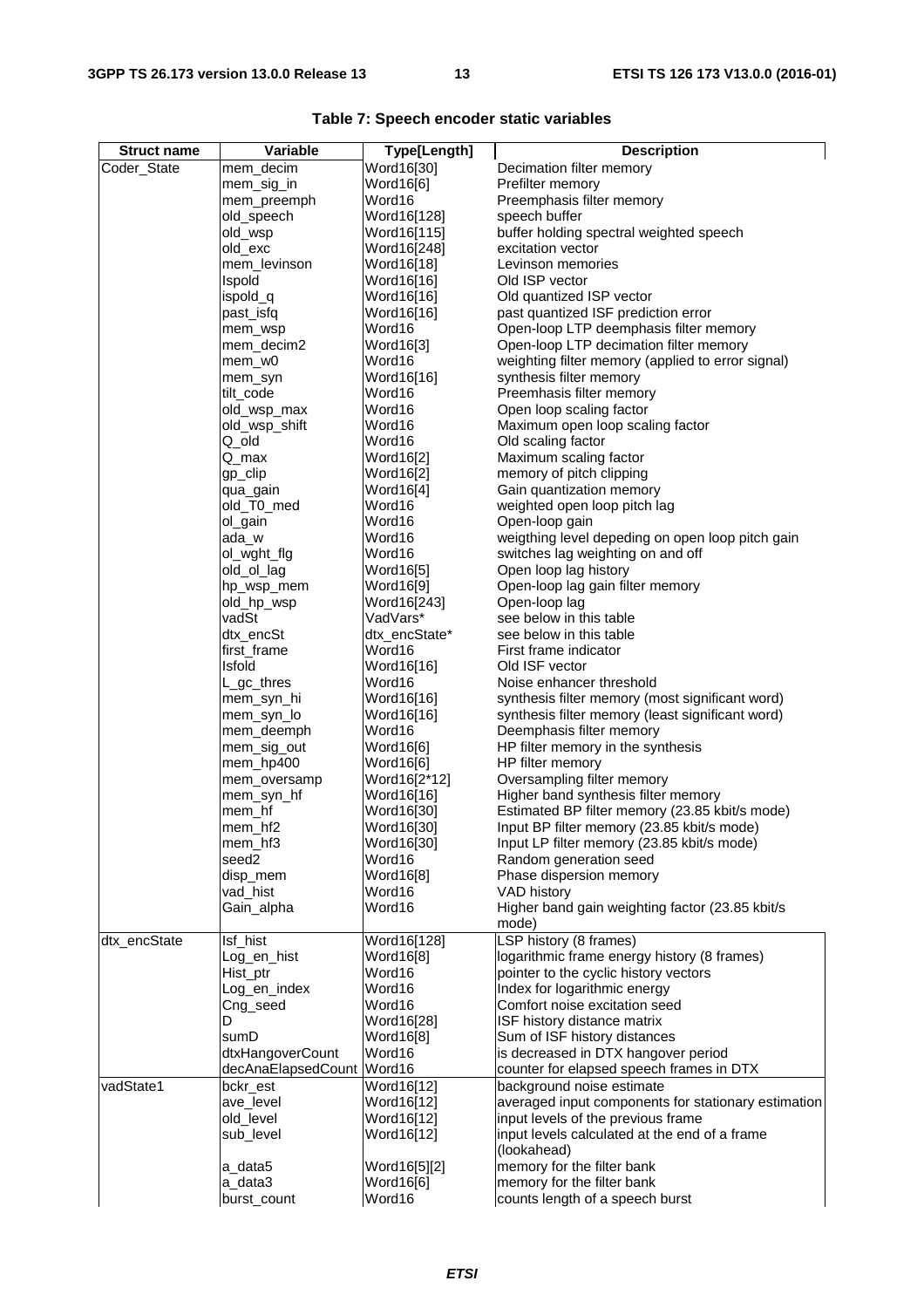| <b>Struct name</b> | Variable                 | Type[Length]             | <b>Description</b>                                                    |
|--------------------|--------------------------|--------------------------|-----------------------------------------------------------------------|
| Coder_State        | mem_decim                | Word16[30]               | Decimation filter memory                                              |
|                    | mem_sig_in               | Word16[6]                | Prefilter memory                                                      |
|                    | mem_preemph              | Word16                   | Preemphasis filter memory                                             |
|                    | old_speech               | Word16[128]              | speech buffer                                                         |
|                    | old_wsp                  | Word16[115]              | buffer holding spectral weighted speech                               |
|                    | old_exc                  | Word16[248]              | excitation vector                                                     |
|                    | mem_levinson             | Word16[18]               | Levinson memories                                                     |
|                    | Ispold                   | Word16[16]               | Old ISP vector                                                        |
|                    | ispold_q                 | Word16[16]               | Old quantized ISP vector                                              |
|                    | past_isfq                | Word16[16]               | past quantized ISF prediction error                                   |
|                    | mem_wsp                  | Word16                   | Open-loop LTP deemphasis filter memory                                |
|                    | mem_decim2               | Word16[3]                | Open-loop LTP decimation filter memory                                |
|                    | mem_w0                   | Word16                   | weighting filter memory (applied to error signal)                     |
|                    | mem_syn                  | Word16[16]               | synthesis filter memory                                               |
|                    | tilt code                | Word16                   | Preemhasis filter memory                                              |
|                    | old_wsp_max              | Word16<br>Word16         | Open loop scaling factor                                              |
|                    | old_wsp_shift<br>Q_old   | Word16                   | Maximum open loop scaling factor<br>Old scaling factor                |
|                    | Q_max                    | Word16[2]                | Maximum scaling factor                                                |
|                    | gp_clip                  | Word16[2]                | memory of pitch clipping                                              |
|                    | qua_gain                 | Word16[4]                | Gain quantization memory                                              |
|                    | old_T0_med               | Word16                   | weighted open loop pitch lag                                          |
|                    | ol_gain                  | Word16                   | Open-loop gain                                                        |
|                    | ada_w                    | Word16                   | weigthing level depeding on open loop pitch gain                      |
|                    | ol wght flg              | Word16                   | switches lag weighting on and off                                     |
|                    | old_ol_lag               | Word16[5]                | Open loop lag history                                                 |
|                    | hp_wsp_mem               | Word16[9]                | Open-loop lag gain filter memory                                      |
|                    | old_hp_wsp               | Word16[243]              | Open-loop lag                                                         |
|                    | vadSt                    | VadVars*                 | see below in this table                                               |
|                    | dtx_encSt                | dtx_encState*            | see below in this table                                               |
|                    | first_frame              | Word16                   | First frame indicator                                                 |
|                    | <b>Isfold</b>            | Word16[16]               | Old ISF vector                                                        |
|                    | L_gc_thres               | Word16                   | Noise enhancer threshold                                              |
|                    | mem_syn_hi               | Word16[16]               | synthesis filter memory (most significant word)                       |
|                    | mem_syn_lo               | Word16[16]<br>Word16     | synthesis filter memory (least significant word)                      |
|                    | mem_deemph               | Word16[6]                | Deemphasis filter memory<br>HP filter memory in the synthesis         |
|                    | mem_sig_out<br>mem_hp400 | Word16[6]                | HP filter memory                                                      |
|                    | mem_oversamp             | Word16[2*12]             | Oversampling filter memory                                            |
|                    | mem_syn_hf               | Word16[16]               | Higher band synthesis filter memory                                   |
|                    | mem_hf                   | Word16[30]               | Estimated BP filter memory (23.85 kbit/s mode)                        |
|                    | mem_hf2                  | Word16[30]               | Input BP filter memory (23.85 kbit/s mode)                            |
|                    | mem_hf3                  | Word16[30]               | Input LP filter memory (23.85 kbit/s mode)                            |
|                    | seed2                    | Word16                   | Random generation seed                                                |
|                    | disp_mem                 | Word16[8]                | Phase dispersion memory                                               |
|                    | vad_hist                 | Word16                   | VAD history                                                           |
|                    | Gain_alpha               | Word16                   | Higher band gain weighting factor (23.85 kbit/s                       |
|                    |                          |                          | mode)                                                                 |
| dtx_encState       | Isf_hist                 | Word16[128]              | LSP history (8 frames)                                                |
|                    | Log_en_hist              | Word16[8]                | logarithmic frame energy history (8 frames)                           |
|                    | Hist_ptr                 | Word16                   | pointer to the cyclic history vectors                                 |
|                    | Log_en_index             | Word16                   | Index for logarithmic energy                                          |
|                    | Cng_seed                 | Word16                   | Comfort noise excitation seed                                         |
|                    | D                        | Word16[28]               | ISF history distance matrix                                           |
|                    | sumD                     | Word16[8]                | Sum of ISF history distances                                          |
|                    | dtxHangoverCount         | Word16<br>Word16         | is decreased in DTX hangover period                                   |
| vadState1          | decAnaElapsedCount       |                          | counter for elapsed speech frames in DTX<br>background noise estimate |
|                    | bckr_est<br>ave_level    | Word16[12]<br>Word16[12] | averaged input components for stationary estimation                   |
|                    | old_level                | Word16[12]               | input levels of the previous frame                                    |
|                    | sub_level                | Word16[12]               | input levels calculated at the end of a frame                         |
|                    |                          |                          | (lookahead)                                                           |
|                    | a_data5                  | Word16[5][2]             | memory for the filter bank                                            |
|                    | a_data3                  | Word16[6]                | memory for the filter bank                                            |
|                    | burst_count              | Word16                   | counts length of a speech burst                                       |

|  |  |  |  | Table 7: Speech encoder static variables |
|--|--|--|--|------------------------------------------|
|--|--|--|--|------------------------------------------|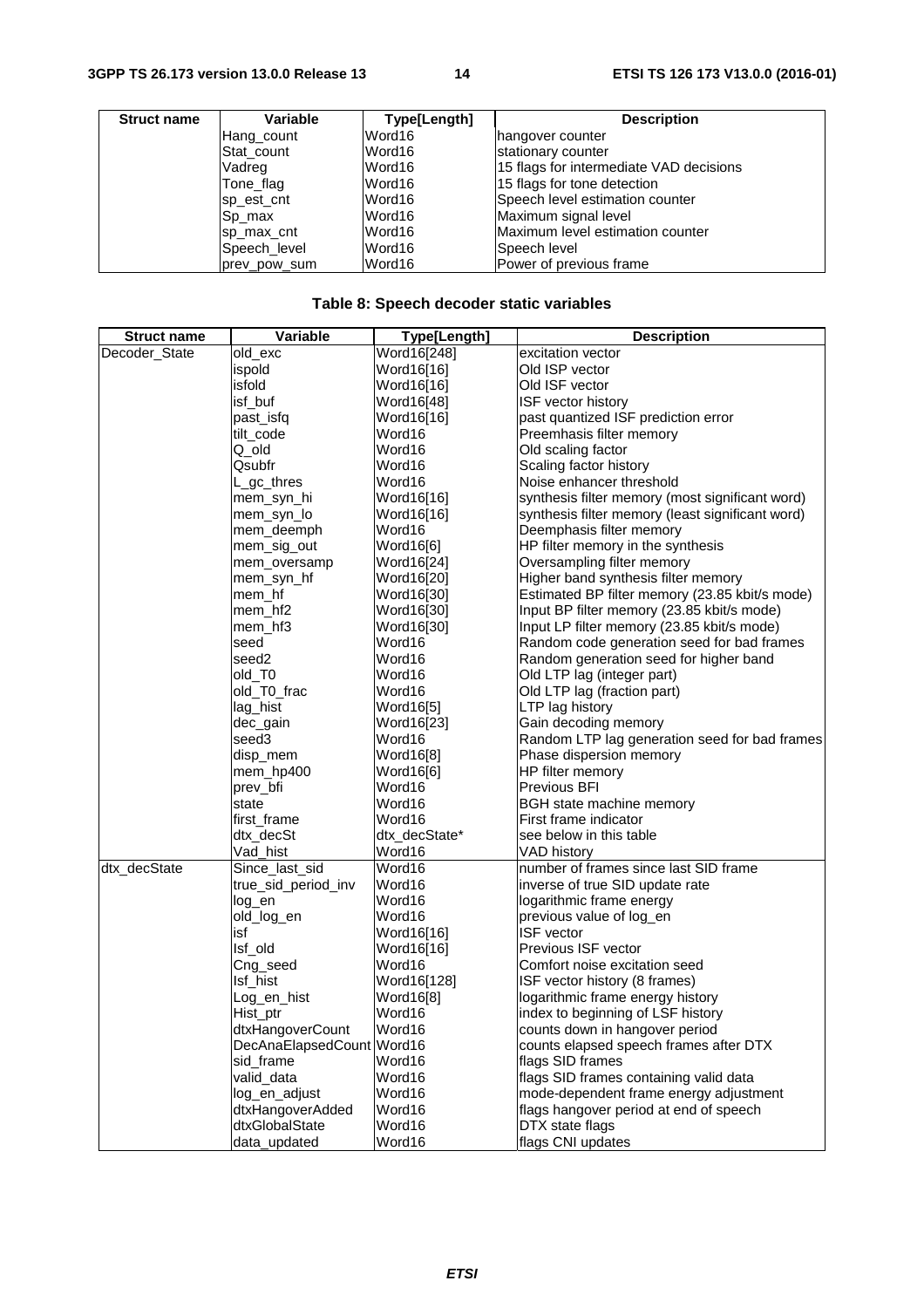| <b>Struct name</b> | Variable     | Type[Length] | <b>Description</b>                      |
|--------------------|--------------|--------------|-----------------------------------------|
|                    | Hang_count   | Word16       | hangover counter                        |
|                    | Stat count   | Word16       | stationary counter                      |
|                    | Vadreg       | Word16       | 15 flags for intermediate VAD decisions |
|                    | Tone flag    | Word16       | 15 flags for tone detection             |
|                    | sp_est_cnt   | Word16       | Speech level estimation counter         |
|                    | Sp_max       | Word16       | Maximum signal level                    |
|                    | sp max cnt   | Word16       | Maximum level estimation counter        |
|                    | Speech_level | Word16       | Speech level                            |
|                    | prev pow sum | Word16       | lPower of previous frame                |

#### **Table 8: Speech decoder static variables**

| <b>Struct name</b> | Variable                  | Type[Length]  | <b>Description</b>                               |
|--------------------|---------------------------|---------------|--------------------------------------------------|
| Decoder_State      | old_exc                   | Word16[248]   | excitation vector                                |
|                    | ispold                    | Word16[16]    | Old ISP vector                                   |
|                    | isfold                    | Word16[16]    | Old ISF vector                                   |
|                    | isf_buf                   | Word16[48]    | <b>ISF vector history</b>                        |
|                    | past_isfq                 | Word16[16]    | past quantized ISF prediction error              |
|                    | tilt_code                 | Word16        | Preemhasis filter memory                         |
|                    | Q_old                     | Word16        | Old scaling factor                               |
|                    | Qsubfr                    | Word16        | Scaling factor history                           |
|                    | L_gc_thres                | Word16        | Noise enhancer threshold                         |
|                    | mem_syn_hi                | Word16[16]    | synthesis filter memory (most significant word)  |
|                    | mem_syn_lo                | Word16[16]    | synthesis filter memory (least significant word) |
|                    | mem_deemph                | Word16        | Deemphasis filter memory                         |
|                    | mem_sig_out               | Word16[6]     | HP filter memory in the synthesis                |
|                    | mem_oversamp              | Word16[24]    | Oversampling filter memory                       |
|                    | mem_syn_hf                | Word16[20]    | Higher band synthesis filter memory              |
|                    | mem_hf                    | Word16[30]    | Estimated BP filter memory (23.85 kbit/s mode)   |
|                    | mem_hf2                   | Word16[30]    | Input BP filter memory (23.85 kbit/s mode)       |
|                    | mem_hf3                   | Word16[30]    | Input LP filter memory (23.85 kbit/s mode)       |
|                    | seed                      | Word16        | Random code generation seed for bad frames       |
|                    | seed <sub>2</sub>         | Word16        | Random generation seed for higher band           |
|                    | old_T0                    | Word16        | Old LTP lag (integer part)                       |
|                    | old_T0_frac               | Word16        | Old LTP lag (fraction part)                      |
|                    | lag_hist                  | Word16[5]     | LTP lag history                                  |
|                    | dec_gain                  | Word16[23]    | Gain decoding memory                             |
|                    | seed3                     | Word16        | Random LTP lag generation seed for bad frames    |
|                    | disp_mem                  | Word16[8]     | Phase dispersion memory                          |
|                    | mem_hp400                 | Word16[6]     | HP filter memory                                 |
|                    | prev_bfi                  | Word16        | Previous BFI                                     |
|                    | state                     | Word16        | BGH state machine memory                         |
|                    | first_frame               | Word16        | First frame indicator                            |
|                    | dtx_decSt                 | dtx_decState* | see below in this table                          |
|                    | Vad_hist                  | Word16        | VAD history                                      |
| dtx_decState       | Since_last_sid            | Word16        | number of frames since last SID frame            |
|                    | true_sid_period_inv       | Word16        | inverse of true SID update rate                  |
|                    | log_en                    | Word16        | logarithmic frame energy                         |
|                    | old_log_en                | Word16        | previous value of log_en                         |
|                    | isf                       | Word16[16]    | <b>ISF</b> vector                                |
|                    | Isf_old                   | Word16[16]    | Previous ISF vector                              |
|                    | Cng_seed                  | Word16        | Comfort noise excitation seed                    |
|                    | Isf_hist                  | Word16[128]   | ISF vector history (8 frames)                    |
|                    | Log_en_hist               | Word16[8]     | logarithmic frame energy history                 |
|                    | Hist_ptr                  | Word16        | index to beginning of LSF history                |
|                    | dtxHangoverCount          | Word16        | counts down in hangover period                   |
|                    | DecAnaElapsedCount Word16 |               | counts elapsed speech frames after DTX           |
|                    | sid_frame                 | Word16        | flags SID frames                                 |
|                    | valid_data                | Word16        | flags SID frames containing valid data           |
|                    | log_en_adjust             | Word16        | mode-dependent frame energy adjustment           |
|                    | dtxHangoverAdded          | Word16        | flags hangover period at end of speech           |
|                    | dtxGlobalState            | Word16        | DTX state flags                                  |
|                    | data_updated              | Word16        | flags CNI updates                                |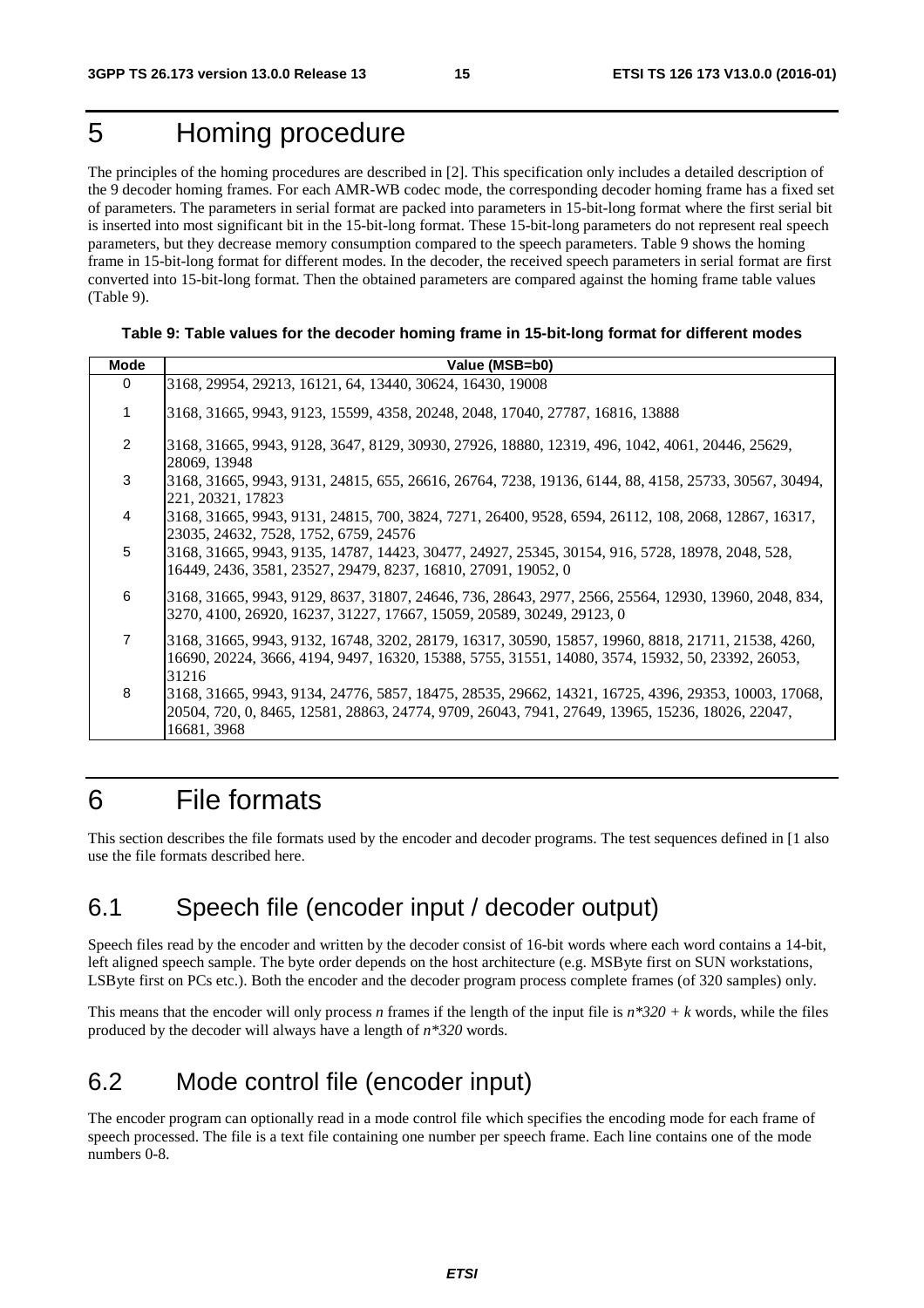### 5 Homing procedure

The principles of the homing procedures are described in [2]. This specification only includes a detailed description of the 9 decoder homing frames. For each AMR-WB codec mode, the corresponding decoder homing frame has a fixed set of parameters. The parameters in serial format are packed into parameters in 15-bit-long format where the first serial bit is inserted into most significant bit in the 15-bit-long format. These 15-bit-long parameters do not represent real speech parameters, but they decrease memory consumption compared to the speech parameters. Table 9 shows the homing frame in 15-bit-long format for different modes. In the decoder, the received speech parameters in serial format are first converted into 15-bit-long format. Then the obtained parameters are compared against the homing frame table values (Table 9).

#### **Table 9: Table values for the decoder homing frame in 15-bit-long format for different modes**

| <b>Mode</b>    | Value (MSB=b0)                                                                                                                                                                                                        |
|----------------|-----------------------------------------------------------------------------------------------------------------------------------------------------------------------------------------------------------------------|
| $\Omega$       | 3168, 29954, 29213, 16121, 64, 13440, 30624, 16430, 19008                                                                                                                                                             |
| 1              | 3168, 31665, 9943, 9123, 15599, 4358, 20248, 2048, 17040, 27787, 16816, 13888                                                                                                                                         |
| $\mathcal{P}$  | 3168, 31665, 9943, 9128, 3647, 8129, 30930, 27926, 18880, 12319, 496, 1042, 4061, 20446, 25629,<br>28069, 13948                                                                                                       |
| 3              | 3168, 31665, 9943, 9131, 24815, 655, 26616, 26764, 7238, 19136, 6144, 88, 4158, 25733, 30567, 30494,<br>221, 20321, 17823                                                                                             |
| 4              | 3168, 31665, 9943, 9131, 24815, 700, 3824, 7271, 26400, 9528, 6594, 26112, 108, 2068, 12867, 16317,<br>23035, 24632, 7528, 1752, 6759, 24576                                                                          |
| 5              | 3168, 31665, 9943, 9135, 14787, 14423, 30477, 24927, 25345, 30154, 916, 5728, 18978, 2048, 528,<br>16449, 2436, 3581, 23527, 29479, 8237, 16810, 27091, 19052, 0                                                      |
| 6              | 3168, 31665, 9943, 9129, 8637, 31807, 24646, 736, 28643, 2977, 2566, 25564, 12930, 13960, 2048, 834,<br>3270, 4100, 26920, 16237, 31227, 17667, 15059, 20589, 30249, 29123, 0                                         |
| $\overline{7}$ | 3168, 31665, 9943, 9132, 16748, 3202, 28179, 16317, 30590, 15857, 19960, 8818, 21711, 21538, 4260,<br>16690, 20224, 3666, 4194, 9497, 16320, 15388, 5755, 31551, 14080, 3574, 15932, 50, 23392, 26053,<br>31216       |
| 8              | 3168, 31665, 9943, 9134, 24776, 5857, 18475, 28535, 29662, 14321, 16725, 4396, 29353, 10003, 17068,<br>20504, 720, 0, 8465, 12581, 28863, 24774, 9709, 26043, 7941, 27649, 13965, 15236, 18026, 22047,<br>16681, 3968 |

### 6 File formats

This section describes the file formats used by the encoder and decoder programs. The test sequences defined in [1 also use the file formats described here.

### 6.1 Speech file (encoder input / decoder output)

Speech files read by the encoder and written by the decoder consist of 16-bit words where each word contains a 14-bit, left aligned speech sample. The byte order depends on the host architecture (e.g. MSByte first on SUN workstations, LSByte first on PCs etc.). Both the encoder and the decoder program process complete frames (of 320 samples) only.

This means that the encoder will only process *n* frames if the length of the input file is *n\*320 + k* words, while the files produced by the decoder will always have a length of *n\*320* words.

### 6.2 Mode control file (encoder input)

The encoder program can optionally read in a mode control file which specifies the encoding mode for each frame of speech processed. The file is a text file containing one number per speech frame. Each line contains one of the mode numbers 0-8.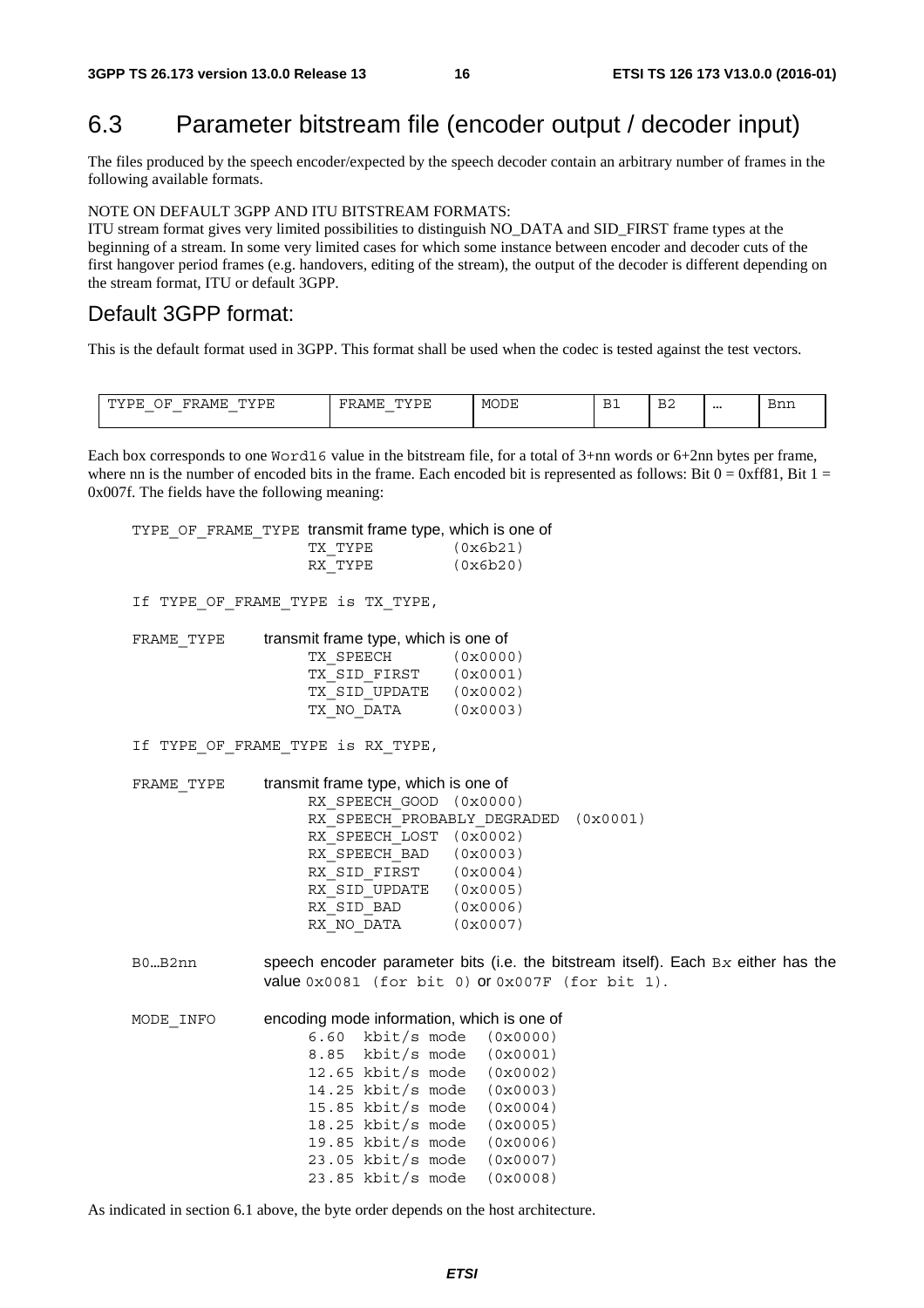### 6.3 Parameter bitstream file (encoder output / decoder input)

The files produced by the speech encoder/expected by the speech decoder contain an arbitrary number of frames in the following available formats.

NOTE ON DEFAULT 3GPP AND ITU BITSTREAM FORMATS:

ITU stream format gives very limited possibilities to distinguish NO\_DATA and SID\_FIRST frame types at the beginning of a stream. In some very limited cases for which some instance between encoder and decoder cuts of the first hangover period frames (e.g. handovers, editing of the stream), the output of the decoder is different depending on the stream format, ITU or default 3GPP.

#### Default 3GPP format:

This is the default format used in 3GPP. This format shall be used when the codec is tested against the test vectors.

| 5.57<br>----<br>шу<br>∿МЬ.<br>.<br>⊔ ⊔<br>سالان<br>$\overline{\phantom{a}}$<br>$\overline{\phantom{a}}$<br>$\overline{\phantom{a}}$ | .<br>'\IVI г.<br>. . | <b>MODE</b> | $\sim$<br>∸∸ | $\sim$<br>BZ | $\cdots$<br>. | ວ∽≁<br>- 5111. |
|-------------------------------------------------------------------------------------------------------------------------------------|----------------------|-------------|--------------|--------------|---------------|----------------|
|-------------------------------------------------------------------------------------------------------------------------------------|----------------------|-------------|--------------|--------------|---------------|----------------|

Each box corresponds to one Word16 value in the bitstream file, for a total of 3+nn words or 6+2nn bytes per frame, where nn is the number of encoded bits in the frame. Each encoded bit is represented as follows: Bit  $0 = 0xff81$ , Bit  $1 =$ 0x007f. The fields have the following meaning:

TYPE OF FRAME TYPE transmit frame type, which is one of

| TX TYPE | (0x6b21) |
|---------|----------|
| RX TYPE | (0x6b20) |

If TYPE OF FRAME TYPE is TX TYPE,

| FRAME TYPE | transmit frame type, which is one of |          |
|------------|--------------------------------------|----------|
|            | TX SPEECH                            | (0x0000) |
|            | TX SID FIRST                         | (0x0001) |
|            | TX SID UPDATE                        | (0x0002) |
|            | TX NO DATA                           | (0x0003) |

If TYPE OF FRAME TYPE is RX TYPE,

FRAME TYPE transmit frame type, which is one of RX SPEECH GOOD (0x0000) RX\_SPEECH\_PROBABLY\_DEGRADED (0x0001) RX<sup>SPEECH</sub> LOST (0x0002)</sup> RX SPEECH BAD (0x0003) RX SID FIRST (0x0004) RX\_SID\_UPDATE (0x0005) RX SID BAD (0x0006) RX NO DATA (0x0007)

B0…B2nn speech encoder parameter bits (i.e. the bitstream itself). Each B*x* either has the value 0x0081 (for bit 0) or 0x007F (for bit 1).

#### MODE INFO encoding mode information, which is one of

6.60 kbit/s mode (0x0000) 8.85 kbit/s mode (0x0001) 12.65 kbit/s mode (0x0002) 14.25 kbit/s mode (0x0003) 15.85 kbit/s mode (0x0004) 18.25 kbit/s mode (0x0005) 19.85  $kbit/s$  mode 23.05 kbit/s mode (0x0007) 23.85 kbit/s mode (0x0008)

As indicated in section 6.1 above, the byte order depends on the host architecture.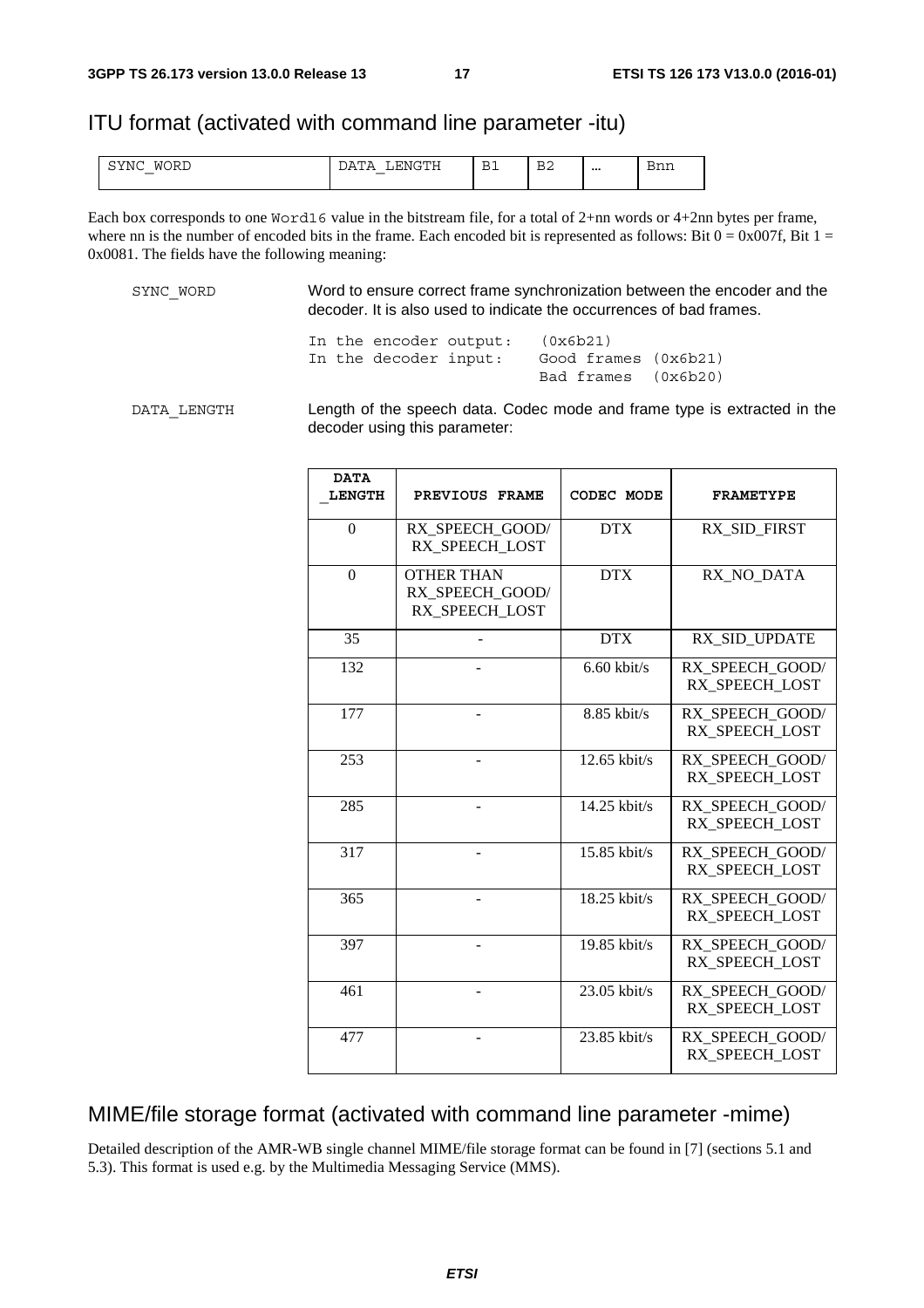#### ITU format (activated with command line parameter -itu)

| SYNC<br>M (<br>ا س<br>___ | :NG÷<br>$1\mu$<br>∸<br>. | R<br>∸∸ | $\mathbf{r}$<br>. .<br>↵ | $\cdots$ | Bnn |
|---------------------------|--------------------------|---------|--------------------------|----------|-----|
| $\overline{\phantom{a}}$  | $\overline{\phantom{a}}$ |         |                          |          |     |

Each box corresponds to one Word16 value in the bitstream file, for a total of 2+nn words or 4+2nn bytes per frame, where nn is the number of encoded bits in the frame. Each encoded bit is represented as follows: Bit  $0 = 0x007f$ , Bit  $1 =$ 0x0081. The fields have the following meaning:

SYNC\_WORD Word to ensure correct frame synchronization between the encoder and the decoder. It is also used to indicate the occurrences of bad frames.

|  | In the encoder output: | (0x6b21)             |  |
|--|------------------------|----------------------|--|
|  | In the decoder input:  | Good frames (0x6b21) |  |
|  |                        | Bad frames (0x6b20)  |  |

DATA LENGTH Length of the speech data. Codec mode and frame type is extracted in the decoder using this parameter:

| <b>DATA</b><br><b>LENGTH</b> | PREVIOUS FRAME                                         | CODEC MODE     | <b>FRAMETYPE</b>                  |
|------------------------------|--------------------------------------------------------|----------------|-----------------------------------|
| $\theta$                     | RX SPEECH GOOD/<br>RX SPEECH LOST                      | <b>DTX</b>     | RX SID FIRST                      |
| $\theta$                     | <b>OTHER THAN</b><br>RX SPEECH GOOD/<br>RX SPEECH LOST | <b>DTX</b>     | RX NO DATA                        |
| 35                           |                                                        | <b>DTX</b>     | RX SID UPDATE                     |
| 132                          |                                                        | $6.60$ kbit/s  | RX SPEECH GOOD/<br>RX SPEECH LOST |
| 177                          |                                                        | $8.85$ kbit/s  | RX SPEECH GOOD/<br>RX SPEECH LOST |
| 253                          |                                                        | $12.65$ kbit/s | RX SPEECH GOOD/<br>RX SPEECH LOST |
| 285                          |                                                        | $14.25$ kbit/s | RX SPEECH GOOD/<br>RX SPEECH LOST |
| $\overline{317}$             |                                                        | $15.85$ kbit/s | RX SPEECH GOOD/<br>RX SPEECH LOST |
| 365                          |                                                        | 18.25 kbit/s   | RX SPEECH GOOD/<br>RX SPEECH LOST |
| 397                          |                                                        | $19.85$ kbit/s | RX SPEECH GOOD/<br>RX SPEECH LOST |
| 461                          |                                                        | $23.05$ kbit/s | RX SPEECH GOOD/<br>RX SPEECH LOST |
| 477                          |                                                        | 23.85 kbit/s   | RX SPEECH GOOD/<br>RX SPEECH LOST |

#### MIME/file storage format (activated with command line parameter -mime)

Detailed description of the AMR-WB single channel MIME/file storage format can be found in [7] (sections 5.1 and 5.3). This format is used e.g. by the Multimedia Messaging Service (MMS).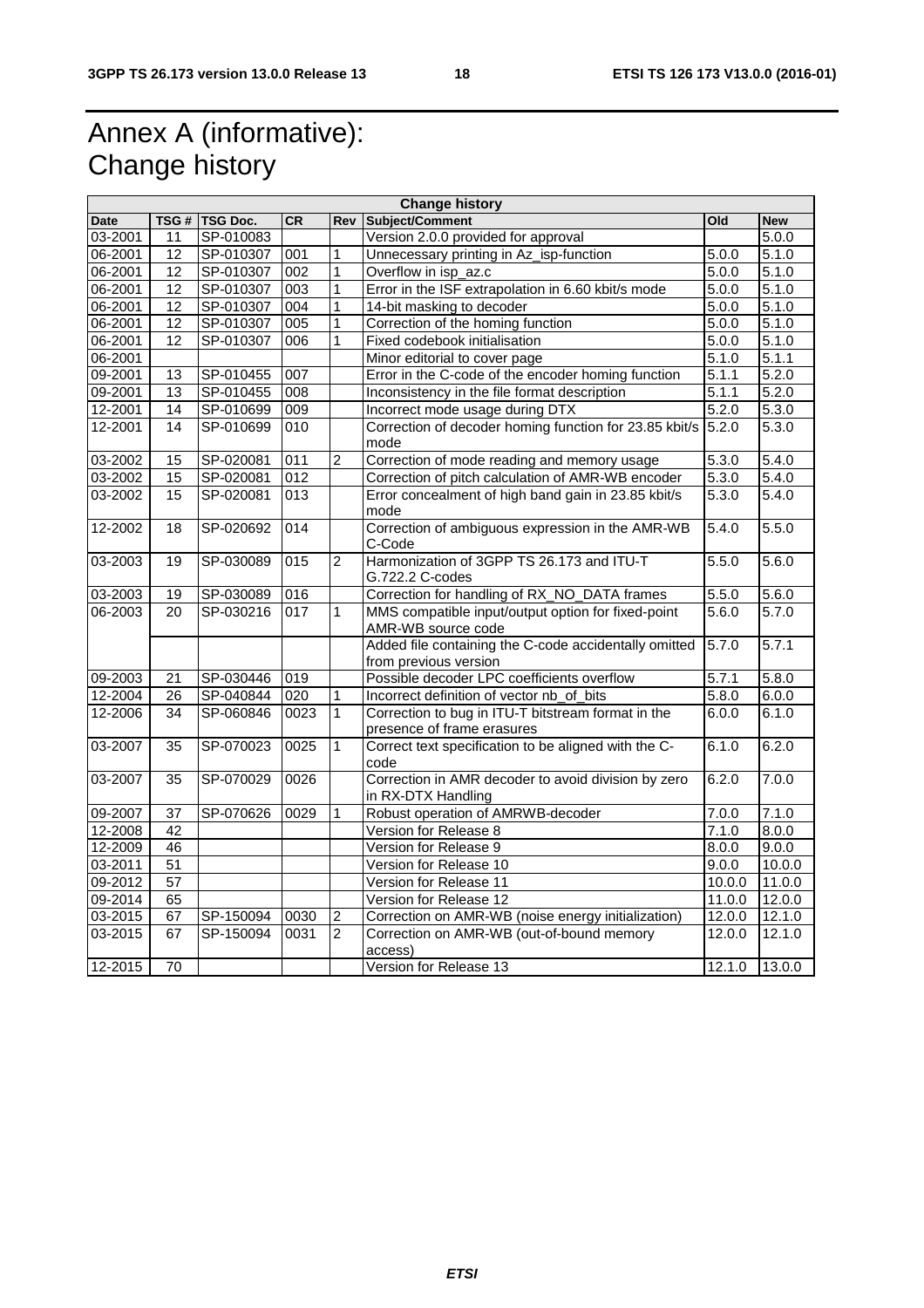## Annex A (informative): Change history

| CR<br>TSG #   TSG Doc.<br><b>Rev</b><br>Old<br><b>New</b><br><b>Date</b><br>SP-010083<br>Version 2.0.0 provided for approval<br>5.0.0<br>03-2001<br>11<br>06-2001<br>$\overline{5.1.0}$<br>12<br>SP-010307<br>001<br>1<br>Unnecessary printing in Az_isp-function<br>5.0.0<br>$\overline{12}$<br>SP-010307<br>002<br>1<br>Overflow in isp_az.c<br>06-2001<br>5.0.0<br>5.1.0<br>SP-010307<br>$\overline{1}$<br>5.1.0<br>06-2001<br>$\overline{12}$<br>$\overline{003}$<br>Error in the ISF extrapolation in 6.60 kbit/s mode<br>5.0.0<br>$\overline{12}$<br>1<br>5.0.0<br>$\overline{5.1.0}$<br>06-2001<br>SP-010307<br>004<br>14-bit masking to decoder<br>$\overline{12}$<br>SP-010307<br>005<br>1<br>Correction of the homing function<br>5.1.0<br>06-2001<br>5.0.0<br>5.1.0<br>$\overline{12}$<br>1<br>5.0.0<br>06-2001<br>SP-010307<br>006<br>Fixed codebook initialisation<br>5.1.0<br>5.1.1<br>06-2001<br>Minor editorial to cover page<br>Error in the C-code of the encoder homing function<br>SP-010455<br>007<br>5.1.1<br>5.2.0<br>09-2001<br>13<br>5.1.1<br>SP-010455<br>5.2.0<br>09-2001<br>13<br>008<br>Inconsistency in the file format description<br>14<br>5.2.0<br>5.3.0<br>12-2001<br>SP-010699<br>009<br>Incorrect mode usage during DTX<br>SP-010699<br>Correction of decoder homing function for 23.85 kbit/s<br>12-2001<br>14<br>010<br>5.2.0<br>5.3.0<br>mode<br>$\overline{2}$<br>5.3.0<br>SP-020081<br>Correction of mode reading and memory usage<br>5.4.0<br>03-2002<br>15<br>011<br>$\overline{012}$<br>SP-020081 | <b>Change history</b> |    |  |  |  |                                                   |       |        |
|-----------------------------------------------------------------------------------------------------------------------------------------------------------------------------------------------------------------------------------------------------------------------------------------------------------------------------------------------------------------------------------------------------------------------------------------------------------------------------------------------------------------------------------------------------------------------------------------------------------------------------------------------------------------------------------------------------------------------------------------------------------------------------------------------------------------------------------------------------------------------------------------------------------------------------------------------------------------------------------------------------------------------------------------------------------------------------------------------------------------------------------------------------------------------------------------------------------------------------------------------------------------------------------------------------------------------------------------------------------------------------------------------------------------------------------------------------------------------------------------------------------------------------------------------|-----------------------|----|--|--|--|---------------------------------------------------|-------|--------|
|                                                                                                                                                                                                                                                                                                                                                                                                                                                                                                                                                                                                                                                                                                                                                                                                                                                                                                                                                                                                                                                                                                                                                                                                                                                                                                                                                                                                                                                                                                                                               |                       |    |  |  |  | Subject/Comment                                   |       |        |
|                                                                                                                                                                                                                                                                                                                                                                                                                                                                                                                                                                                                                                                                                                                                                                                                                                                                                                                                                                                                                                                                                                                                                                                                                                                                                                                                                                                                                                                                                                                                               |                       |    |  |  |  |                                                   |       |        |
|                                                                                                                                                                                                                                                                                                                                                                                                                                                                                                                                                                                                                                                                                                                                                                                                                                                                                                                                                                                                                                                                                                                                                                                                                                                                                                                                                                                                                                                                                                                                               |                       |    |  |  |  |                                                   |       |        |
|                                                                                                                                                                                                                                                                                                                                                                                                                                                                                                                                                                                                                                                                                                                                                                                                                                                                                                                                                                                                                                                                                                                                                                                                                                                                                                                                                                                                                                                                                                                                               |                       |    |  |  |  |                                                   |       |        |
|                                                                                                                                                                                                                                                                                                                                                                                                                                                                                                                                                                                                                                                                                                                                                                                                                                                                                                                                                                                                                                                                                                                                                                                                                                                                                                                                                                                                                                                                                                                                               |                       |    |  |  |  |                                                   |       |        |
|                                                                                                                                                                                                                                                                                                                                                                                                                                                                                                                                                                                                                                                                                                                                                                                                                                                                                                                                                                                                                                                                                                                                                                                                                                                                                                                                                                                                                                                                                                                                               |                       |    |  |  |  |                                                   |       |        |
|                                                                                                                                                                                                                                                                                                                                                                                                                                                                                                                                                                                                                                                                                                                                                                                                                                                                                                                                                                                                                                                                                                                                                                                                                                                                                                                                                                                                                                                                                                                                               |                       |    |  |  |  |                                                   |       |        |
|                                                                                                                                                                                                                                                                                                                                                                                                                                                                                                                                                                                                                                                                                                                                                                                                                                                                                                                                                                                                                                                                                                                                                                                                                                                                                                                                                                                                                                                                                                                                               |                       |    |  |  |  |                                                   |       |        |
|                                                                                                                                                                                                                                                                                                                                                                                                                                                                                                                                                                                                                                                                                                                                                                                                                                                                                                                                                                                                                                                                                                                                                                                                                                                                                                                                                                                                                                                                                                                                               |                       |    |  |  |  |                                                   |       |        |
|                                                                                                                                                                                                                                                                                                                                                                                                                                                                                                                                                                                                                                                                                                                                                                                                                                                                                                                                                                                                                                                                                                                                                                                                                                                                                                                                                                                                                                                                                                                                               |                       |    |  |  |  |                                                   |       |        |
|                                                                                                                                                                                                                                                                                                                                                                                                                                                                                                                                                                                                                                                                                                                                                                                                                                                                                                                                                                                                                                                                                                                                                                                                                                                                                                                                                                                                                                                                                                                                               |                       |    |  |  |  |                                                   |       |        |
|                                                                                                                                                                                                                                                                                                                                                                                                                                                                                                                                                                                                                                                                                                                                                                                                                                                                                                                                                                                                                                                                                                                                                                                                                                                                                                                                                                                                                                                                                                                                               |                       |    |  |  |  |                                                   |       |        |
|                                                                                                                                                                                                                                                                                                                                                                                                                                                                                                                                                                                                                                                                                                                                                                                                                                                                                                                                                                                                                                                                                                                                                                                                                                                                                                                                                                                                                                                                                                                                               |                       |    |  |  |  |                                                   |       |        |
|                                                                                                                                                                                                                                                                                                                                                                                                                                                                                                                                                                                                                                                                                                                                                                                                                                                                                                                                                                                                                                                                                                                                                                                                                                                                                                                                                                                                                                                                                                                                               |                       |    |  |  |  |                                                   |       |        |
|                                                                                                                                                                                                                                                                                                                                                                                                                                                                                                                                                                                                                                                                                                                                                                                                                                                                                                                                                                                                                                                                                                                                                                                                                                                                                                                                                                                                                                                                                                                                               | 03-2002               | 15 |  |  |  | Correction of pitch calculation of AMR-WB encoder | 5.3.0 | 5.4.0  |
| Error concealment of high band gain in 23.85 kbit/s<br>03-2002<br>15<br>SP-020081<br>$\overline{013}$<br>5.3.0<br>5.4.0<br>mode                                                                                                                                                                                                                                                                                                                                                                                                                                                                                                                                                                                                                                                                                                                                                                                                                                                                                                                                                                                                                                                                                                                                                                                                                                                                                                                                                                                                               |                       |    |  |  |  |                                                   |       |        |
| Correction of ambiguous expression in the AMR-WB<br>5.4.0<br>12-2002<br>SP-020692<br>014<br>5.5.0<br>18<br>C-Code                                                                                                                                                                                                                                                                                                                                                                                                                                                                                                                                                                                                                                                                                                                                                                                                                                                                                                                                                                                                                                                                                                                                                                                                                                                                                                                                                                                                                             |                       |    |  |  |  |                                                   |       |        |
| $\overline{2}$<br>SP-030089<br>015<br>Harmonization of 3GPP TS 26.173 and ITU-T<br>5.5.0<br>5.6.0<br>03-2003<br>19<br>G.722.2 C-codes                                                                                                                                                                                                                                                                                                                                                                                                                                                                                                                                                                                                                                                                                                                                                                                                                                                                                                                                                                                                                                                                                                                                                                                                                                                                                                                                                                                                         |                       |    |  |  |  |                                                   |       |        |
| Correction for handling of RX_NO_DATA frames<br>5.5.0<br>03-2003<br>19<br>SP-030089<br>016<br>5.6.0                                                                                                                                                                                                                                                                                                                                                                                                                                                                                                                                                                                                                                                                                                                                                                                                                                                                                                                                                                                                                                                                                                                                                                                                                                                                                                                                                                                                                                           |                       |    |  |  |  |                                                   |       |        |
| 5.7.0<br>5.6.0<br>$\overline{20}$<br>SP-030216<br>$\overline{017}$<br>MMS compatible input/output option for fixed-point<br>06-2003<br>1                                                                                                                                                                                                                                                                                                                                                                                                                                                                                                                                                                                                                                                                                                                                                                                                                                                                                                                                                                                                                                                                                                                                                                                                                                                                                                                                                                                                      |                       |    |  |  |  |                                                   |       |        |
| AMR-WB source code                                                                                                                                                                                                                                                                                                                                                                                                                                                                                                                                                                                                                                                                                                                                                                                                                                                                                                                                                                                                                                                                                                                                                                                                                                                                                                                                                                                                                                                                                                                            |                       |    |  |  |  |                                                   |       |        |
| Added file containing the C-code accidentally omitted<br>5.7.1<br>5.7.0                                                                                                                                                                                                                                                                                                                                                                                                                                                                                                                                                                                                                                                                                                                                                                                                                                                                                                                                                                                                                                                                                                                                                                                                                                                                                                                                                                                                                                                                       |                       |    |  |  |  |                                                   |       |        |
| from previous version                                                                                                                                                                                                                                                                                                                                                                                                                                                                                                                                                                                                                                                                                                                                                                                                                                                                                                                                                                                                                                                                                                                                                                                                                                                                                                                                                                                                                                                                                                                         |                       |    |  |  |  |                                                   |       |        |
| Possible decoder LPC coefficients overflow<br>5.7.1<br>09-2003<br>21<br>SP-030446<br>019<br>5.8.0                                                                                                                                                                                                                                                                                                                                                                                                                                                                                                                                                                                                                                                                                                                                                                                                                                                                                                                                                                                                                                                                                                                                                                                                                                                                                                                                                                                                                                             |                       |    |  |  |  |                                                   |       |        |
| 26<br>SP-040844<br>020<br>5.8.0<br>12-2004<br>Incorrect definition of vector nb_of_bits<br>6.0.0<br>1                                                                                                                                                                                                                                                                                                                                                                                                                                                                                                                                                                                                                                                                                                                                                                                                                                                                                                                                                                                                                                                                                                                                                                                                                                                                                                                                                                                                                                         |                       |    |  |  |  |                                                   |       |        |
| SP-060846<br>$\mathbf{1}$<br>12-2006<br>34<br>0023<br>Correction to bug in ITU-T bitstream format in the<br>6.0.0<br>6.1.0                                                                                                                                                                                                                                                                                                                                                                                                                                                                                                                                                                                                                                                                                                                                                                                                                                                                                                                                                                                                                                                                                                                                                                                                                                                                                                                                                                                                                    |                       |    |  |  |  |                                                   |       |        |
| presence of frame erasures                                                                                                                                                                                                                                                                                                                                                                                                                                                                                                                                                                                                                                                                                                                                                                                                                                                                                                                                                                                                                                                                                                                                                                                                                                                                                                                                                                                                                                                                                                                    |                       |    |  |  |  |                                                   |       |        |
| 0025<br>$\mathbf{1}$<br>Correct text specification to be aligned with the C-<br>6.1.0<br>6.2.0<br>$\overline{35}$<br>SP-070023<br>03-2007<br>code                                                                                                                                                                                                                                                                                                                                                                                                                                                                                                                                                                                                                                                                                                                                                                                                                                                                                                                                                                                                                                                                                                                                                                                                                                                                                                                                                                                             |                       |    |  |  |  |                                                   |       |        |
| SP-070029<br>0026<br>Correction in AMR decoder to avoid division by zero<br>6.2.0<br>7.0.0<br>03-2007<br>35<br>in RX-DTX Handling                                                                                                                                                                                                                                                                                                                                                                                                                                                                                                                                                                                                                                                                                                                                                                                                                                                                                                                                                                                                                                                                                                                                                                                                                                                                                                                                                                                                             |                       |    |  |  |  |                                                   |       |        |
| 09-2007<br>SP-070626<br>0029<br>1<br>Robust operation of AMRWB-decoder<br>7.0.0<br>7.1.0<br>37                                                                                                                                                                                                                                                                                                                                                                                                                                                                                                                                                                                                                                                                                                                                                                                                                                                                                                                                                                                                                                                                                                                                                                                                                                                                                                                                                                                                                                                |                       |    |  |  |  |                                                   |       |        |
| $\overline{42}$<br>Version for Release 8<br>0.0.8<br>12-2008<br>7.1.0                                                                                                                                                                                                                                                                                                                                                                                                                                                                                                                                                                                                                                                                                                                                                                                                                                                                                                                                                                                                                                                                                                                                                                                                                                                                                                                                                                                                                                                                         |                       |    |  |  |  |                                                   |       |        |
| 12-2009<br>46<br>Version for Release 9<br>9.0.0<br>8.0.0                                                                                                                                                                                                                                                                                                                                                                                                                                                                                                                                                                                                                                                                                                                                                                                                                                                                                                                                                                                                                                                                                                                                                                                                                                                                                                                                                                                                                                                                                      |                       |    |  |  |  |                                                   |       |        |
| 51<br>9.0.0<br>03-2011<br>Version for Release 10                                                                                                                                                                                                                                                                                                                                                                                                                                                                                                                                                                                                                                                                                                                                                                                                                                                                                                                                                                                                                                                                                                                                                                                                                                                                                                                                                                                                                                                                                              |                       |    |  |  |  |                                                   |       | 10.0.0 |
| $\overline{57}$<br>09-2012<br>Version for Release 11<br>10.0.0                                                                                                                                                                                                                                                                                                                                                                                                                                                                                                                                                                                                                                                                                                                                                                                                                                                                                                                                                                                                                                                                                                                                                                                                                                                                                                                                                                                                                                                                                |                       |    |  |  |  |                                                   |       | 11.0.0 |
| 09-2014<br>65<br>Version for Release 12<br>11.0.0                                                                                                                                                                                                                                                                                                                                                                                                                                                                                                                                                                                                                                                                                                                                                                                                                                                                                                                                                                                                                                                                                                                                                                                                                                                                                                                                                                                                                                                                                             |                       |    |  |  |  |                                                   |       | 12.0.0 |
| 03-2015<br>67<br>0030<br>Correction on AMR-WB (noise energy initialization)<br>12.0.0<br>SP-150094<br>$\overline{\mathbf{c}}$                                                                                                                                                                                                                                                                                                                                                                                                                                                                                                                                                                                                                                                                                                                                                                                                                                                                                                                                                                                                                                                                                                                                                                                                                                                                                                                                                                                                                 |                       |    |  |  |  |                                                   |       | 12.1.0 |
| $\overline{2}$<br>03-2015<br>67<br>SP-150094<br>0031<br>Correction on AMR-WB (out-of-bound memory<br>$\overline{1}2.0.0$<br>access)                                                                                                                                                                                                                                                                                                                                                                                                                                                                                                                                                                                                                                                                                                                                                                                                                                                                                                                                                                                                                                                                                                                                                                                                                                                                                                                                                                                                           |                       |    |  |  |  |                                                   |       | 12.1.0 |
| 12-2015<br>$\overline{70}$<br>12.1.0<br>Version for Release 13                                                                                                                                                                                                                                                                                                                                                                                                                                                                                                                                                                                                                                                                                                                                                                                                                                                                                                                                                                                                                                                                                                                                                                                                                                                                                                                                                                                                                                                                                |                       |    |  |  |  |                                                   |       | 13.0.0 |